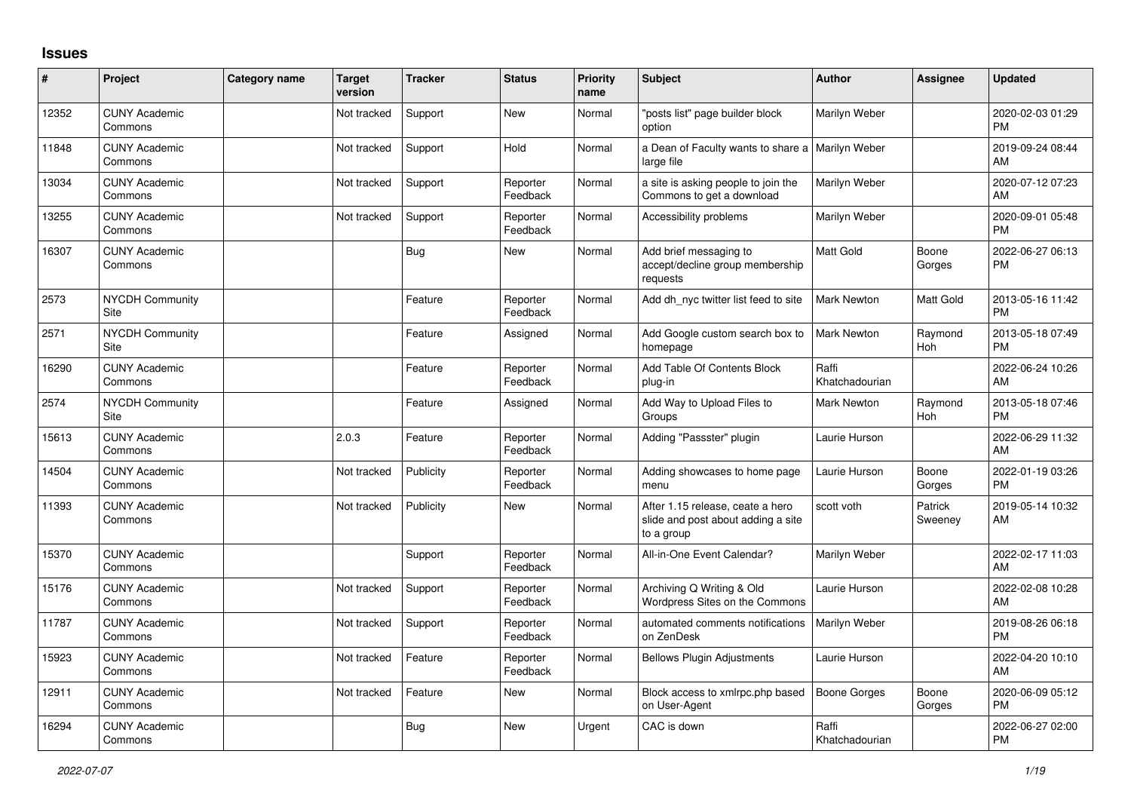## **Issues**

| #     | Project                         | <b>Category name</b> | <b>Target</b><br>version | <b>Tracker</b> | <b>Status</b>        | Priority<br>name | <b>Subject</b>                                                                       | <b>Author</b>           | <b>Assignee</b>    | <b>Updated</b>                |
|-------|---------------------------------|----------------------|--------------------------|----------------|----------------------|------------------|--------------------------------------------------------------------------------------|-------------------------|--------------------|-------------------------------|
| 12352 | <b>CUNY Academic</b><br>Commons |                      | Not tracked              | Support        | <b>New</b>           | Normal           | "posts list" page builder block<br>option                                            | Marilyn Weber           |                    | 2020-02-03 01:29<br><b>PM</b> |
| 11848 | <b>CUNY Academic</b><br>Commons |                      | Not tracked              | Support        | Hold                 | Normal           | a Dean of Faculty wants to share a   Marilyn Weber<br>large file                     |                         |                    | 2019-09-24 08:44<br>AM        |
| 13034 | <b>CUNY Academic</b><br>Commons |                      | Not tracked              | Support        | Reporter<br>Feedback | Normal           | a site is asking people to join the<br>Commons to get a download                     | Marilyn Weber           |                    | 2020-07-12 07:23<br>AM        |
| 13255 | <b>CUNY Academic</b><br>Commons |                      | Not tracked              | Support        | Reporter<br>Feedback | Normal           | Accessibility problems                                                               | Marilyn Weber           |                    | 2020-09-01 05:48<br><b>PM</b> |
| 16307 | <b>CUNY Academic</b><br>Commons |                      |                          | Bug            | <b>New</b>           | Normal           | Add brief messaging to<br>accept/decline group membership<br>requests                | <b>Matt Gold</b>        | Boone<br>Gorges    | 2022-06-27 06:13<br><b>PM</b> |
| 2573  | <b>NYCDH Community</b><br>Site  |                      |                          | Feature        | Reporter<br>Feedback | Normal           | Add dh_nyc twitter list feed to site                                                 | <b>Mark Newton</b>      | Matt Gold          | 2013-05-16 11:42<br><b>PM</b> |
| 2571  | <b>NYCDH Community</b><br>Site  |                      |                          | Feature        | Assigned             | Normal           | Add Google custom search box to<br>homepage                                          | <b>Mark Newton</b>      | Raymond<br>Hoh     | 2013-05-18 07:49<br><b>PM</b> |
| 16290 | <b>CUNY Academic</b><br>Commons |                      |                          | Feature        | Reporter<br>Feedback | Normal           | Add Table Of Contents Block<br>plug-in                                               | Raffi<br>Khatchadourian |                    | 2022-06-24 10:26<br>AM        |
| 2574  | <b>NYCDH Community</b><br>Site  |                      |                          | Feature        | Assigned             | Normal           | Add Way to Upload Files to<br>Groups                                                 | <b>Mark Newton</b>      | Raymond<br>Hoh     | 2013-05-18 07:46<br><b>PM</b> |
| 15613 | <b>CUNY Academic</b><br>Commons |                      | 2.0.3                    | Feature        | Reporter<br>Feedback | Normal           | Adding "Passster" plugin                                                             | Laurie Hurson           |                    | 2022-06-29 11:32<br>AM        |
| 14504 | <b>CUNY Academic</b><br>Commons |                      | Not tracked              | Publicity      | Reporter<br>Feedback | Normal           | Adding showcases to home page<br>menu                                                | Laurie Hurson           | Boone<br>Gorges    | 2022-01-19 03:26<br><b>PM</b> |
| 11393 | <b>CUNY Academic</b><br>Commons |                      | Not tracked              | Publicity      | <b>New</b>           | Normal           | After 1.15 release, ceate a hero<br>slide and post about adding a site<br>to a group | scott voth              | Patrick<br>Sweeney | 2019-05-14 10:32<br>AM        |
| 15370 | <b>CUNY Academic</b><br>Commons |                      |                          | Support        | Reporter<br>Feedback | Normal           | All-in-One Event Calendar?                                                           | Marilyn Weber           |                    | 2022-02-17 11:03<br>AM        |
| 15176 | <b>CUNY Academic</b><br>Commons |                      | Not tracked              | Support        | Reporter<br>Feedback | Normal           | Archiving Q Writing & Old<br>Wordpress Sites on the Commons                          | Laurie Hurson           |                    | 2022-02-08 10:28<br>AM        |
| 11787 | <b>CUNY Academic</b><br>Commons |                      | Not tracked              | Support        | Reporter<br>Feedback | Normal           | automated comments notifications<br>on ZenDesk                                       | Marilyn Weber           |                    | 2019-08-26 06:18<br><b>PM</b> |
| 15923 | <b>CUNY Academic</b><br>Commons |                      | Not tracked              | Feature        | Reporter<br>Feedback | Normal           | <b>Bellows Plugin Adjustments</b>                                                    | Laurie Hurson           |                    | 2022-04-20 10:10<br>AM        |
| 12911 | <b>CUNY Academic</b><br>Commons |                      | Not tracked              | Feature        | <b>New</b>           | Normal           | Block access to xmlrpc.php based<br>on User-Agent                                    | <b>Boone Gorges</b>     | Boone<br>Gorges    | 2020-06-09 05:12<br><b>PM</b> |
| 16294 | <b>CUNY Academic</b><br>Commons |                      |                          | Bug            | <b>New</b>           | Urgent           | CAC is down                                                                          | Raffi<br>Khatchadourian |                    | 2022-06-27 02:00<br>PM        |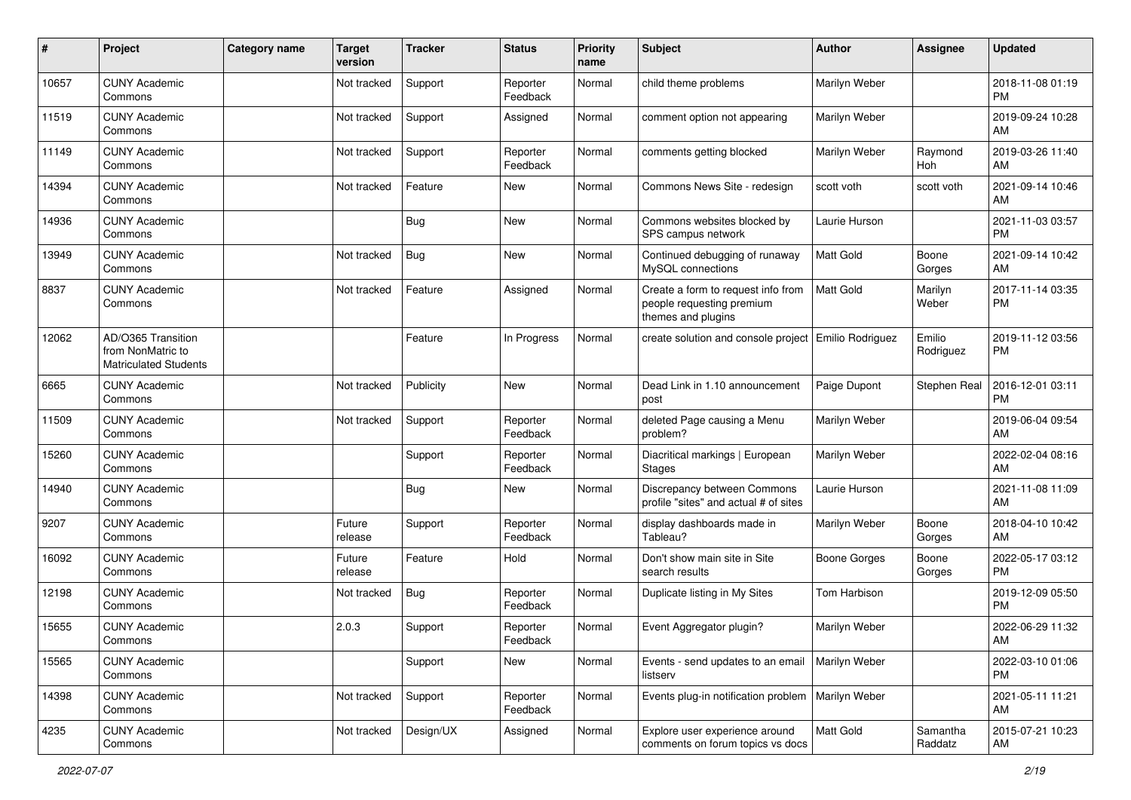| #     | Project                                                                 | <b>Category name</b> | <b>Target</b><br>version | <b>Tracker</b> | <b>Status</b>        | Priority<br>name | Subject                                                                               | Author              | <b>Assignee</b>     | <b>Updated</b>                |
|-------|-------------------------------------------------------------------------|----------------------|--------------------------|----------------|----------------------|------------------|---------------------------------------------------------------------------------------|---------------------|---------------------|-------------------------------|
| 10657 | <b>CUNY Academic</b><br>Commons                                         |                      | Not tracked              | Support        | Reporter<br>Feedback | Normal           | child theme problems                                                                  | Marilyn Weber       |                     | 2018-11-08 01:19<br><b>PM</b> |
| 11519 | <b>CUNY Academic</b><br>Commons                                         |                      | Not tracked              | Support        | Assigned             | Normal           | comment option not appearing                                                          | Marilyn Weber       |                     | 2019-09-24 10:28<br>AM        |
| 11149 | <b>CUNY Academic</b><br>Commons                                         |                      | Not tracked              | Support        | Reporter<br>Feedback | Normal           | comments getting blocked                                                              | Marilyn Weber       | Raymond<br>Hoh      | 2019-03-26 11:40<br>AM        |
| 14394 | <b>CUNY Academic</b><br>Commons                                         |                      | Not tracked              | Feature        | <b>New</b>           | Normal           | Commons News Site - redesign                                                          | scott voth          | scott voth          | 2021-09-14 10:46<br>AM        |
| 14936 | <b>CUNY Academic</b><br>Commons                                         |                      |                          | Bug            | <b>New</b>           | Normal           | Commons websites blocked by<br>SPS campus network                                     | Laurie Hurson       |                     | 2021-11-03 03:57<br><b>PM</b> |
| 13949 | <b>CUNY Academic</b><br>Commons                                         |                      | Not tracked              | Bug            | <b>New</b>           | Normal           | Continued debugging of runaway<br>MySQL connections                                   | <b>Matt Gold</b>    | Boone<br>Gorges     | 2021-09-14 10:42<br>AM        |
| 8837  | <b>CUNY Academic</b><br>Commons                                         |                      | Not tracked              | Feature        | Assigned             | Normal           | Create a form to request info from<br>people requesting premium<br>themes and plugins | <b>Matt Gold</b>    | Marilyn<br>Weber    | 2017-11-14 03:35<br><b>PM</b> |
| 12062 | AD/O365 Transition<br>from NonMatric to<br><b>Matriculated Students</b> |                      |                          | Feature        | In Progress          | Normal           | create solution and console project   Emilio Rodriguez                                |                     | Emilio<br>Rodriguez | 2019-11-12 03:56<br><b>PM</b> |
| 6665  | <b>CUNY Academic</b><br>Commons                                         |                      | Not tracked              | Publicity      | <b>New</b>           | Normal           | Dead Link in 1.10 announcement<br>post                                                | Paige Dupont        | Stephen Real        | 2016-12-01 03:11<br><b>PM</b> |
| 11509 | <b>CUNY Academic</b><br>Commons                                         |                      | Not tracked              | Support        | Reporter<br>Feedback | Normal           | deleted Page causing a Menu<br>problem?                                               | Marilyn Weber       |                     | 2019-06-04 09:54<br>AM        |
| 15260 | <b>CUNY Academic</b><br>Commons                                         |                      |                          | Support        | Reporter<br>Feedback | Normal           | Diacritical markings   European<br><b>Stages</b>                                      | Marilyn Weber       |                     | 2022-02-04 08:16<br>AM        |
| 14940 | <b>CUNY Academic</b><br>Commons                                         |                      |                          | <b>Bug</b>     | <b>New</b>           | Normal           | Discrepancy between Commons<br>profile "sites" and actual # of sites                  | Laurie Hurson       |                     | 2021-11-08 11:09<br>AM        |
| 9207  | <b>CUNY Academic</b><br>Commons                                         |                      | Future<br>release        | Support        | Reporter<br>Feedback | Normal           | display dashboards made in<br>Tableau?                                                | Marilyn Weber       | Boone<br>Gorges     | 2018-04-10 10:42<br>AM        |
| 16092 | <b>CUNY Academic</b><br>Commons                                         |                      | Future<br>release        | Feature        | Hold                 | Normal           | Don't show main site in Site<br>search results                                        | <b>Boone Gorges</b> | Boone<br>Gorges     | 2022-05-17 03:12<br><b>PM</b> |
| 12198 | <b>CUNY Academic</b><br>Commons                                         |                      | Not tracked              | Bug            | Reporter<br>Feedback | Normal           | Duplicate listing in My Sites                                                         | Tom Harbison        |                     | 2019-12-09 05:50<br><b>PM</b> |
| 15655 | <b>CUNY Academic</b><br>Commons                                         |                      | 2.0.3                    | Support        | Reporter<br>Feedback | Normal           | Event Aggregator plugin?                                                              | Marilyn Weber       |                     | 2022-06-29 11:32<br>AM        |
| 15565 | <b>CUNY Academic</b><br>Commons                                         |                      |                          | Support        | New                  | Normal           | Events - send updates to an email<br>listserv                                         | Marilyn Weber       |                     | 2022-03-10 01:06<br>PM        |
| 14398 | <b>CUNY Academic</b><br>Commons                                         |                      | Not tracked              | Support        | Reporter<br>Feedback | Normal           | Events plug-in notification problem   Marilyn Weber                                   |                     |                     | 2021-05-11 11:21<br>AM        |
| 4235  | <b>CUNY Academic</b><br>Commons                                         |                      | Not tracked              | Design/UX      | Assigned             | Normal           | Explore user experience around<br>comments on forum topics vs docs                    | Matt Gold           | Samantha<br>Raddatz | 2015-07-21 10:23<br>AM        |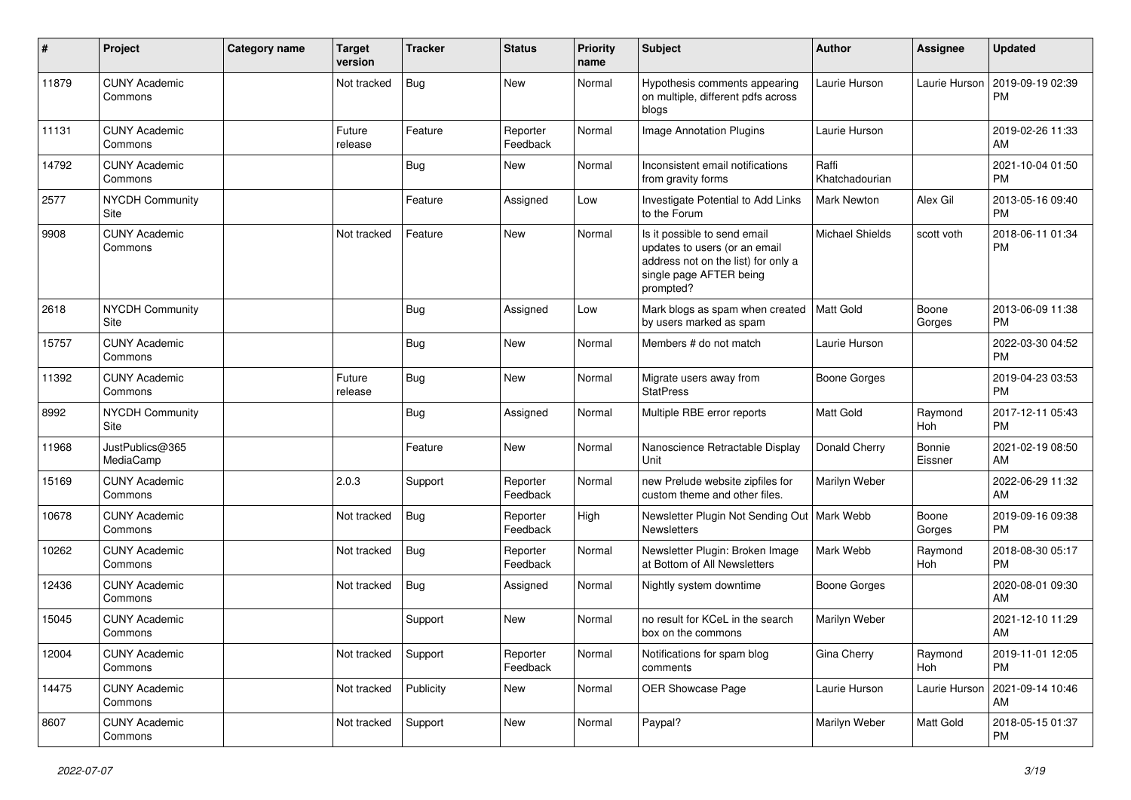| #     | Project                               | <b>Category name</b> | <b>Target</b><br>version | <b>Tracker</b> | <b>Status</b>        | <b>Priority</b><br>name | Subject                                                                                                                                      | Author                  | <b>Assignee</b>   | <b>Updated</b>                |
|-------|---------------------------------------|----------------------|--------------------------|----------------|----------------------|-------------------------|----------------------------------------------------------------------------------------------------------------------------------------------|-------------------------|-------------------|-------------------------------|
| 11879 | <b>CUNY Academic</b><br>Commons       |                      | Not tracked              | <b>Bug</b>     | <b>New</b>           | Normal                  | Hypothesis comments appearing<br>on multiple, different pdfs across<br>blogs                                                                 | Laurie Hurson           | Laurie Hurson     | 2019-09-19 02:39<br>PM        |
| 11131 | <b>CUNY Academic</b><br>Commons       |                      | Future<br>release        | Feature        | Reporter<br>Feedback | Normal                  | <b>Image Annotation Plugins</b>                                                                                                              | Laurie Hurson           |                   | 2019-02-26 11:33<br>AM        |
| 14792 | <b>CUNY Academic</b><br>Commons       |                      |                          | Bug            | New                  | Normal                  | Inconsistent email notifications<br>from gravity forms                                                                                       | Raffi<br>Khatchadourian |                   | 2021-10-04 01:50<br>PM        |
| 2577  | <b>NYCDH Community</b><br>Site        |                      |                          | Feature        | Assigned             | Low                     | Investigate Potential to Add Links<br>to the Forum                                                                                           | Mark Newton             | Alex Gil          | 2013-05-16 09:40<br>PM        |
| 9908  | <b>CUNY Academic</b><br>Commons       |                      | Not tracked              | Feature        | <b>New</b>           | Normal                  | Is it possible to send email<br>updates to users (or an email<br>address not on the list) for only a<br>single page AFTER being<br>prompted? | <b>Michael Shields</b>  | scott voth        | 2018-06-11 01:34<br><b>PM</b> |
| 2618  | NYCDH Community<br>Site               |                      |                          | Bug            | Assigned             | Low                     | Mark blogs as spam when created<br>by users marked as spam                                                                                   | Matt Gold               | Boone<br>Gorges   | 2013-06-09 11:38<br><b>PM</b> |
| 15757 | <b>CUNY Academic</b><br>Commons       |                      |                          | Bug            | New                  | Normal                  | Members # do not match                                                                                                                       | Laurie Hurson           |                   | 2022-03-30 04:52<br>PM        |
| 11392 | <b>CUNY Academic</b><br>Commons       |                      | Future<br>release        | <b>Bug</b>     | <b>New</b>           | Normal                  | Migrate users away from<br><b>StatPress</b>                                                                                                  | <b>Boone Gorges</b>     |                   | 2019-04-23 03:53<br><b>PM</b> |
| 8992  | <b>NYCDH Community</b><br><b>Site</b> |                      |                          | <b>Bug</b>     | Assigned             | Normal                  | Multiple RBE error reports                                                                                                                   | <b>Matt Gold</b>        | Raymond<br>Hoh    | 2017-12-11 05:43<br><b>PM</b> |
| 11968 | JustPublics@365<br>MediaCamp          |                      |                          | Feature        | New                  | Normal                  | Nanoscience Retractable Display<br>Unit                                                                                                      | Donald Cherry           | Bonnie<br>Eissner | 2021-02-19 08:50<br>AM        |
| 15169 | <b>CUNY Academic</b><br>Commons       |                      | 2.0.3                    | Support        | Reporter<br>Feedback | Normal                  | new Prelude website zipfiles for<br>custom theme and other files.                                                                            | Marilyn Weber           |                   | 2022-06-29 11:32<br>AM        |
| 10678 | <b>CUNY Academic</b><br>Commons       |                      | Not tracked              | <b>Bug</b>     | Reporter<br>Feedback | High                    | Newsletter Plugin Not Sending Out   Mark Webb<br><b>Newsletters</b>                                                                          |                         | Boone<br>Gorges   | 2019-09-16 09:38<br>PM        |
| 10262 | <b>CUNY Academic</b><br>Commons       |                      | Not tracked              | <b>Bug</b>     | Reporter<br>Feedback | Normal                  | Newsletter Plugin: Broken Image<br>at Bottom of All Newsletters                                                                              | Mark Webb               | Raymond<br>Hoh    | 2018-08-30 05:17<br><b>PM</b> |
| 12436 | <b>CUNY Academic</b><br>Commons       |                      | Not tracked              | <b>Bug</b>     | Assigned             | Normal                  | Nightly system downtime                                                                                                                      | <b>Boone Gorges</b>     |                   | 2020-08-01 09:30<br>AM        |
| 15045 | <b>CUNY Academic</b><br>Commons       |                      |                          | Support        | <b>New</b>           | Normal                  | no result for KCeL in the search<br>box on the commons                                                                                       | Marilyn Weber           |                   | 2021-12-10 11:29<br>AM        |
| 12004 | <b>CUNY Academic</b><br>Commons       |                      | Not tracked              | Support        | Reporter<br>Feedback | Normal                  | Notifications for spam blog<br>comments                                                                                                      | Gina Cherry             | Raymond<br>Hoh    | 2019-11-01 12:05<br>PM        |
| 14475 | <b>CUNY Academic</b><br>Commons       |                      | Not tracked              | Publicity      | New                  | Normal                  | OER Showcase Page                                                                                                                            | Laurie Hurson           | Laurie Hurson     | 2021-09-14 10:46<br>AM        |
| 8607  | <b>CUNY Academic</b><br>Commons       |                      | Not tracked              | Support        | New                  | Normal                  | Paypal?                                                                                                                                      | Marilyn Weber           | Matt Gold         | 2018-05-15 01:37<br><b>PM</b> |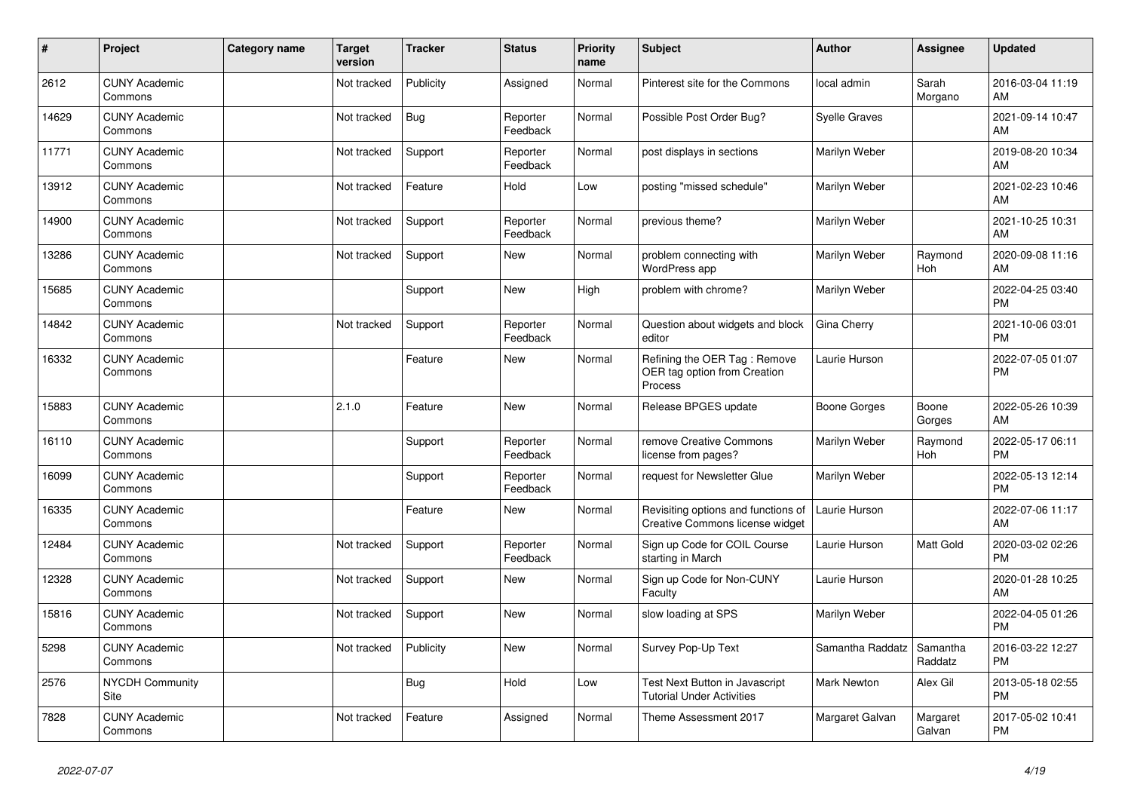| #     | Project                         | <b>Category name</b> | Target<br>version | <b>Tracker</b> | <b>Status</b>        | <b>Priority</b><br>name | <b>Subject</b>                                                          | <b>Author</b>        | <b>Assignee</b>     | <b>Updated</b>                |
|-------|---------------------------------|----------------------|-------------------|----------------|----------------------|-------------------------|-------------------------------------------------------------------------|----------------------|---------------------|-------------------------------|
| 2612  | <b>CUNY Academic</b><br>Commons |                      | Not tracked       | Publicity      | Assigned             | Normal                  | Pinterest site for the Commons                                          | local admin          | Sarah<br>Morgano    | 2016-03-04 11:19<br>AM        |
| 14629 | <b>CUNY Academic</b><br>Commons |                      | Not tracked       | Bug            | Reporter<br>Feedback | Normal                  | Possible Post Order Bug?                                                | <b>Syelle Graves</b> |                     | 2021-09-14 10:47<br>AM        |
| 11771 | <b>CUNY Academic</b><br>Commons |                      | Not tracked       | Support        | Reporter<br>Feedback | Normal                  | post displays in sections                                               | Marilyn Weber        |                     | 2019-08-20 10:34<br>AM        |
| 13912 | <b>CUNY Academic</b><br>Commons |                      | Not tracked       | Feature        | Hold                 | Low                     | posting "missed schedule"                                               | Marilyn Weber        |                     | 2021-02-23 10:46<br>AM        |
| 14900 | <b>CUNY Academic</b><br>Commons |                      | Not tracked       | Support        | Reporter<br>Feedback | Normal                  | previous theme?                                                         | Marilyn Weber        |                     | 2021-10-25 10:31<br>AM        |
| 13286 | <b>CUNY Academic</b><br>Commons |                      | Not tracked       | Support        | <b>New</b>           | Normal                  | problem connecting with<br>WordPress app                                | Marilyn Weber        | Raymond<br>Hoh      | 2020-09-08 11:16<br>AM        |
| 15685 | <b>CUNY Academic</b><br>Commons |                      |                   | Support        | <b>New</b>           | High                    | problem with chrome?                                                    | Marilyn Weber        |                     | 2022-04-25 03:40<br><b>PM</b> |
| 14842 | <b>CUNY Academic</b><br>Commons |                      | Not tracked       | Support        | Reporter<br>Feedback | Normal                  | Question about widgets and block<br>editor                              | Gina Cherry          |                     | 2021-10-06 03:01<br><b>PM</b> |
| 16332 | <b>CUNY Academic</b><br>Commons |                      |                   | Feature        | <b>New</b>           | Normal                  | Refining the OER Tag: Remove<br>OER tag option from Creation<br>Process | Laurie Hurson        |                     | 2022-07-05 01:07<br><b>PM</b> |
| 15883 | <b>CUNY Academic</b><br>Commons |                      | 2.1.0             | Feature        | <b>New</b>           | Normal                  | Release BPGES update                                                    | <b>Boone Gorges</b>  | Boone<br>Gorges     | 2022-05-26 10:39<br>AM        |
| 16110 | <b>CUNY Academic</b><br>Commons |                      |                   | Support        | Reporter<br>Feedback | Normal                  | remove Creative Commons<br>license from pages?                          | Marilyn Weber        | Raymond<br>Hoh      | 2022-05-17 06:11<br><b>PM</b> |
| 16099 | <b>CUNY Academic</b><br>Commons |                      |                   | Support        | Reporter<br>Feedback | Normal                  | request for Newsletter Glue                                             | Marilyn Weber        |                     | 2022-05-13 12:14<br><b>PM</b> |
| 16335 | <b>CUNY Academic</b><br>Commons |                      |                   | Feature        | <b>New</b>           | Normal                  | Revisiting options and functions of<br>Creative Commons license widget  | Laurie Hurson        |                     | 2022-07-06 11:17<br>AM        |
| 12484 | <b>CUNY Academic</b><br>Commons |                      | Not tracked       | Support        | Reporter<br>Feedback | Normal                  | Sign up Code for COIL Course<br>starting in March                       | Laurie Hurson        | Matt Gold           | 2020-03-02 02:26<br><b>PM</b> |
| 12328 | <b>CUNY Academic</b><br>Commons |                      | Not tracked       | Support        | <b>New</b>           | Normal                  | Sign up Code for Non-CUNY<br>Faculty                                    | Laurie Hurson        |                     | 2020-01-28 10:25<br>AM        |
| 15816 | <b>CUNY Academic</b><br>Commons |                      | Not tracked       | Support        | <b>New</b>           | Normal                  | slow loading at SPS                                                     | Marilyn Weber        |                     | 2022-04-05 01:26<br><b>PM</b> |
| 5298  | <b>CUNY Academic</b><br>Commons |                      | Not tracked       | Publicity      | New                  | Normal                  | Survey Pop-Up Text                                                      | Samantha Raddatz     | Samantha<br>Raddatz | 2016-03-22 12:27<br><b>PM</b> |
| 2576  | <b>NYCDH Community</b><br>Site  |                      |                   | <b>Bug</b>     | Hold                 | Low                     | Test Next Button in Javascript<br><b>Tutorial Under Activities</b>      | <b>Mark Newton</b>   | Alex Gil            | 2013-05-18 02:55<br><b>PM</b> |
| 7828  | <b>CUNY Academic</b><br>Commons |                      | Not tracked       | Feature        | Assigned             | Normal                  | Theme Assessment 2017                                                   | Margaret Galvan      | Margaret<br>Galvan  | 2017-05-02 10:41<br><b>PM</b> |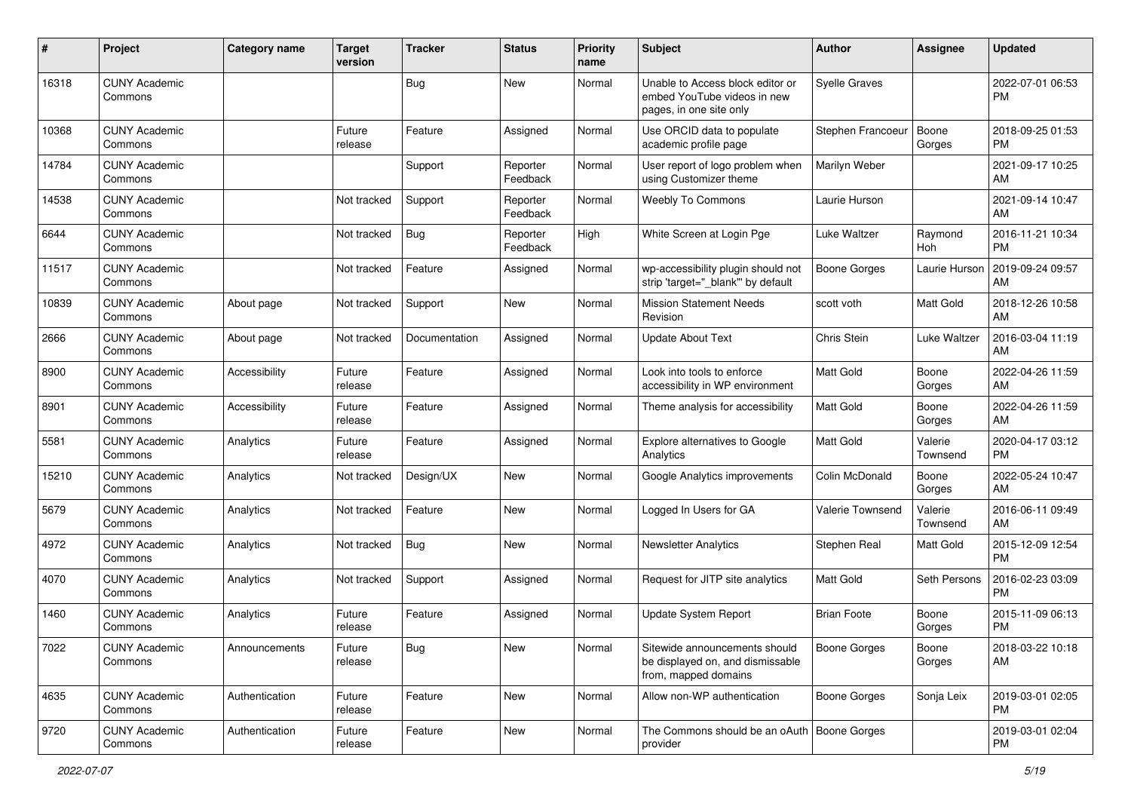| #     | Project                         | <b>Category name</b> | <b>Target</b><br>version | <b>Tracker</b> | <b>Status</b>        | Priority<br>name | <b>Subject</b>                                                                             | <b>Author</b>        | <b>Assignee</b>     | <b>Updated</b>                |
|-------|---------------------------------|----------------------|--------------------------|----------------|----------------------|------------------|--------------------------------------------------------------------------------------------|----------------------|---------------------|-------------------------------|
| 16318 | <b>CUNY Academic</b><br>Commons |                      |                          | <b>Bug</b>     | <b>New</b>           | Normal           | Unable to Access block editor or<br>embed YouTube videos in new<br>pages, in one site only | <b>Syelle Graves</b> |                     | 2022-07-01 06:53<br><b>PM</b> |
| 10368 | <b>CUNY Academic</b><br>Commons |                      | Future<br>release        | Feature        | Assigned             | Normal           | Use ORCID data to populate<br>academic profile page                                        | Stephen Francoeur    | Boone<br>Gorges     | 2018-09-25 01:53<br><b>PM</b> |
| 14784 | <b>CUNY Academic</b><br>Commons |                      |                          | Support        | Reporter<br>Feedback | Normal           | User report of logo problem when<br>using Customizer theme                                 | Marilyn Weber        |                     | 2021-09-17 10:25<br>AM        |
| 14538 | <b>CUNY Academic</b><br>Commons |                      | Not tracked              | Support        | Reporter<br>Feedback | Normal           | <b>Weebly To Commons</b>                                                                   | Laurie Hurson        |                     | 2021-09-14 10:47<br>AM        |
| 6644  | <b>CUNY Academic</b><br>Commons |                      | Not tracked              | Bug            | Reporter<br>Feedback | High             | White Screen at Login Pge                                                                  | Luke Waltzer         | Raymond<br>Hoh      | 2016-11-21 10:34<br><b>PM</b> |
| 11517 | <b>CUNY Academic</b><br>Commons |                      | Not tracked              | Feature        | Assigned             | Normal           | wp-accessibility plugin should not<br>strip 'target="_blank" by default                    | <b>Boone Gorges</b>  | Laurie Hurson       | 2019-09-24 09:57<br>AM        |
| 10839 | <b>CUNY Academic</b><br>Commons | About page           | Not tracked              | Support        | New                  | Normal           | <b>Mission Statement Needs</b><br>Revision                                                 | scott voth           | Matt Gold           | 2018-12-26 10:58<br>AM        |
| 2666  | <b>CUNY Academic</b><br>Commons | About page           | Not tracked              | Documentation  | Assigned             | Normal           | <b>Update About Text</b>                                                                   | Chris Stein          | Luke Waltzer        | 2016-03-04 11:19<br>AM        |
| 8900  | <b>CUNY Academic</b><br>Commons | Accessibility        | Future<br>release        | Feature        | Assigned             | Normal           | Look into tools to enforce<br>accessibility in WP environment                              | <b>Matt Gold</b>     | Boone<br>Gorges     | 2022-04-26 11:59<br>AM        |
| 8901  | <b>CUNY Academic</b><br>Commons | Accessibility        | Future<br>release        | Feature        | Assigned             | Normal           | Theme analysis for accessibility                                                           | <b>Matt Gold</b>     | Boone<br>Gorges     | 2022-04-26 11:59<br>AM        |
| 5581  | <b>CUNY Academic</b><br>Commons | Analytics            | Future<br>release        | Feature        | Assigned             | Normal           | Explore alternatives to Google<br>Analytics                                                | <b>Matt Gold</b>     | Valerie<br>Townsend | 2020-04-17 03:12<br><b>PM</b> |
| 15210 | <b>CUNY Academic</b><br>Commons | Analytics            | Not tracked              | Design/UX      | New                  | Normal           | Google Analytics improvements                                                              | Colin McDonald       | Boone<br>Gorges     | 2022-05-24 10:47<br>AM        |
| 5679  | <b>CUNY Academic</b><br>Commons | Analytics            | Not tracked              | Feature        | <b>New</b>           | Normal           | Logged In Users for GA                                                                     | Valerie Townsend     | Valerie<br>Townsend | 2016-06-11 09:49<br>AM        |
| 4972  | <b>CUNY Academic</b><br>Commons | Analytics            | Not tracked              | Bug            | New                  | Normal           | <b>Newsletter Analytics</b>                                                                | Stephen Real         | Matt Gold           | 2015-12-09 12:54<br><b>PM</b> |
| 4070  | <b>CUNY Academic</b><br>Commons | Analytics            | Not tracked              | Support        | Assigned             | Normal           | Request for JITP site analytics                                                            | <b>Matt Gold</b>     | Seth Persons        | 2016-02-23 03:09<br><b>PM</b> |
| 1460  | <b>CUNY Academic</b><br>Commons | Analytics            | Future<br>release        | Feature        | Assigned             | Normal           | <b>Update System Report</b>                                                                | <b>Brian Foote</b>   | Boone<br>Gorges     | 2015-11-09 06:13<br><b>PM</b> |
| 7022  | <b>CUNY Academic</b><br>Commons | Announcements        | Future<br>release        | Bug            | New                  | Normal           | Sitewide announcements should<br>be displayed on, and dismissable<br>from, mapped domains  | <b>Boone Gorges</b>  | Boone<br>Gorges     | 2018-03-22 10:18<br>AM        |
| 4635  | <b>CUNY Academic</b><br>Commons | Authentication       | Future<br>release        | Feature        | New                  | Normal           | Allow non-WP authentication                                                                | <b>Boone Gorges</b>  | Sonja Leix          | 2019-03-01 02:05<br><b>PM</b> |
| 9720  | <b>CUNY Academic</b><br>Commons | Authentication       | Future<br>release        | Feature        | New                  | Normal           | The Commons should be an oAuth   Boone Gorges<br>provider                                  |                      |                     | 2019-03-01 02:04<br><b>PM</b> |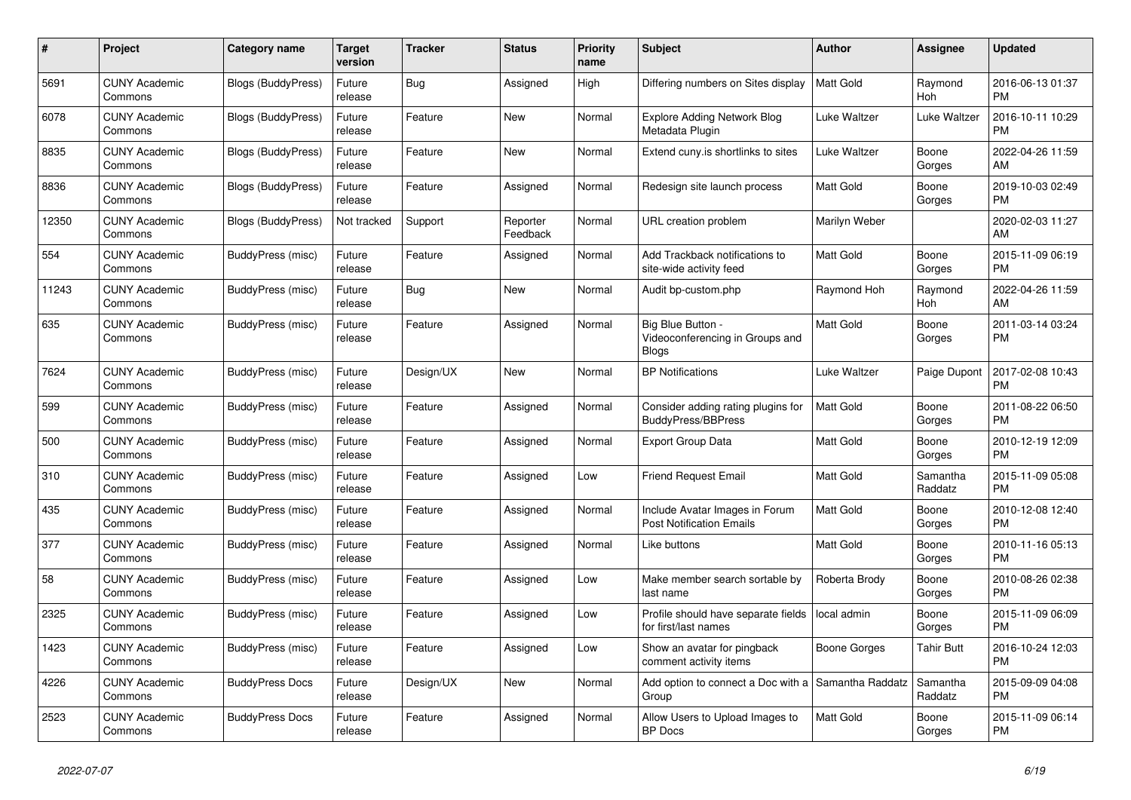| #     | Project                         | Category name             | <b>Target</b><br>version | <b>Tracker</b> | <b>Status</b>        | <b>Priority</b><br>name | <b>Subject</b>                                                       | <b>Author</b>    | Assignee            | <b>Updated</b>                |
|-------|---------------------------------|---------------------------|--------------------------|----------------|----------------------|-------------------------|----------------------------------------------------------------------|------------------|---------------------|-------------------------------|
| 5691  | <b>CUNY Academic</b><br>Commons | Blogs (BuddyPress)        | Future<br>release        | Bug            | Assigned             | High                    | Differing numbers on Sites display                                   | Matt Gold        | Raymond<br>Hoh      | 2016-06-13 01:37<br><b>PM</b> |
| 6078  | <b>CUNY Academic</b><br>Commons | <b>Blogs (BuddyPress)</b> | Future<br>release        | Feature        | New                  | Normal                  | <b>Explore Adding Network Blog</b><br>Metadata Plugin                | Luke Waltzer     | Luke Waltzer        | 2016-10-11 10:29<br><b>PM</b> |
| 8835  | <b>CUNY Academic</b><br>Commons | <b>Blogs (BuddyPress)</b> | Future<br>release        | Feature        | <b>New</b>           | Normal                  | Extend cuny.is shortlinks to sites                                   | Luke Waltzer     | Boone<br>Gorges     | 2022-04-26 11:59<br>AM        |
| 8836  | <b>CUNY Academic</b><br>Commons | <b>Blogs (BuddyPress)</b> | Future<br>release        | Feature        | Assigned             | Normal                  | Redesign site launch process                                         | <b>Matt Gold</b> | Boone<br>Gorges     | 2019-10-03 02:49<br><b>PM</b> |
| 12350 | <b>CUNY Academic</b><br>Commons | <b>Blogs (BuddyPress)</b> | Not tracked              | Support        | Reporter<br>Feedback | Normal                  | URL creation problem                                                 | Marilyn Weber    |                     | 2020-02-03 11:27<br>AM        |
| 554   | <b>CUNY Academic</b><br>Commons | BuddyPress (misc)         | Future<br>release        | Feature        | Assigned             | Normal                  | Add Trackback notifications to<br>site-wide activity feed            | Matt Gold        | Boone<br>Gorges     | 2015-11-09 06:19<br><b>PM</b> |
| 11243 | <b>CUNY Academic</b><br>Commons | BuddyPress (misc)         | Future<br>release        | <b>Bug</b>     | <b>New</b>           | Normal                  | Audit bp-custom.php                                                  | Raymond Hoh      | Raymond<br>Hoh      | 2022-04-26 11:59<br>AM        |
| 635   | <b>CUNY Academic</b><br>Commons | BuddyPress (misc)         | Future<br>release        | Feature        | Assigned             | Normal                  | Big Blue Button -<br>Videoconferencing in Groups and<br><b>Blogs</b> | <b>Matt Gold</b> | Boone<br>Gorges     | 2011-03-14 03:24<br>PM        |
| 7624  | <b>CUNY Academic</b><br>Commons | BuddyPress (misc)         | Future<br>release        | Design/UX      | <b>New</b>           | Normal                  | <b>BP</b> Notifications                                              | Luke Waltzer     | Paige Dupont        | 2017-02-08 10:43<br><b>PM</b> |
| 599   | <b>CUNY Academic</b><br>Commons | BuddyPress (misc)         | Future<br>release        | Feature        | Assigned             | Normal                  | Consider adding rating plugins for<br><b>BuddyPress/BBPress</b>      | <b>Matt Gold</b> | Boone<br>Gorges     | 2011-08-22 06:50<br><b>PM</b> |
| 500   | <b>CUNY Academic</b><br>Commons | BuddyPress (misc)         | Future<br>release        | Feature        | Assigned             | Normal                  | <b>Export Group Data</b>                                             | Matt Gold        | Boone<br>Gorges     | 2010-12-19 12:09<br><b>PM</b> |
| 310   | <b>CUNY Academic</b><br>Commons | BuddyPress (misc)         | Future<br>release        | Feature        | Assigned             | Low                     | <b>Friend Request Email</b>                                          | <b>Matt Gold</b> | Samantha<br>Raddatz | 2015-11-09 05:08<br><b>PM</b> |
| 435   | <b>CUNY Academic</b><br>Commons | BuddyPress (misc)         | Future<br>release        | Feature        | Assigned             | Normal                  | Include Avatar Images in Forum<br><b>Post Notification Emails</b>    | <b>Matt Gold</b> | Boone<br>Gorges     | 2010-12-08 12:40<br><b>PM</b> |
| 377   | <b>CUNY Academic</b><br>Commons | BuddyPress (misc)         | Future<br>release        | Feature        | Assigned             | Normal                  | Like buttons                                                         | Matt Gold        | Boone<br>Gorges     | 2010-11-16 05:13<br><b>PM</b> |
| 58    | <b>CUNY Academic</b><br>Commons | BuddyPress (misc)         | Future<br>release        | Feature        | Assigned             | Low                     | Make member search sortable by<br>last name                          | Roberta Brody    | Boone<br>Gorges     | 2010-08-26 02:38<br><b>PM</b> |
| 2325  | <b>CUNY Academic</b><br>Commons | BuddyPress (misc)         | Future<br>release        | Feature        | Assigned             | Low                     | Profile should have separate fields<br>for first/last names          | local admin      | Boone<br>Gorges     | 2015-11-09 06:09<br><b>PM</b> |
| 1423  | <b>CUNY Academic</b><br>Commons | BuddyPress (misc)         | Future<br>release        | Feature        | Assigned             | Low                     | Show an avatar for pingback<br>comment activity items                | Boone Gorges     | Tahir Butt          | 2016-10-24 12:03<br><b>PM</b> |
| 4226  | <b>CUNY Academic</b><br>Commons | <b>BuddyPress Docs</b>    | Future<br>release        | Design/UX      | New                  | Normal                  | Add option to connect a Doc with a<br>Group                          | Samantha Raddatz | Samantha<br>Raddatz | 2015-09-09 04:08<br><b>PM</b> |
| 2523  | <b>CUNY Academic</b><br>Commons | <b>BuddyPress Docs</b>    | Future<br>release        | Feature        | Assigned             | Normal                  | Allow Users to Upload Images to<br><b>BP</b> Docs                    | <b>Matt Gold</b> | Boone<br>Gorges     | 2015-11-09 06:14<br><b>PM</b> |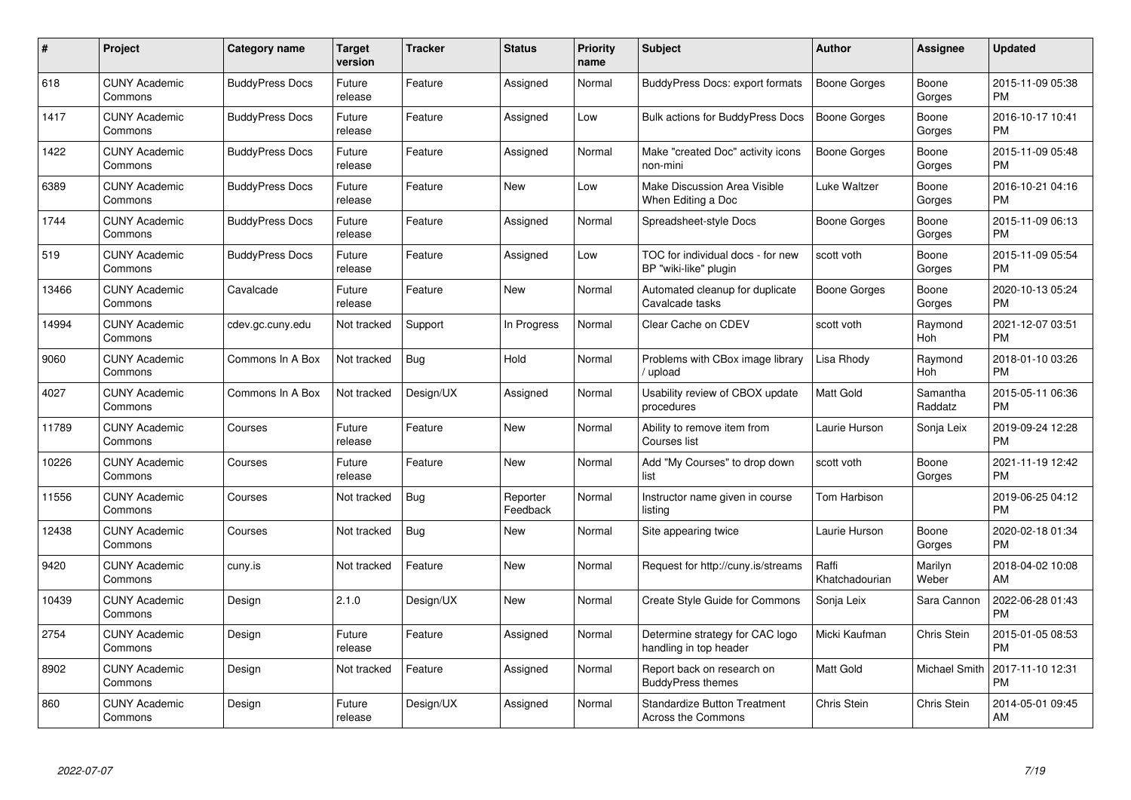| #     | Project                         | <b>Category name</b>   | <b>Target</b><br>version | <b>Tracker</b> | <b>Status</b>        | <b>Priority</b><br>name | <b>Subject</b>                                             | <b>Author</b>           | <b>Assignee</b>      | <b>Updated</b>                |
|-------|---------------------------------|------------------------|--------------------------|----------------|----------------------|-------------------------|------------------------------------------------------------|-------------------------|----------------------|-------------------------------|
| 618   | <b>CUNY Academic</b><br>Commons | <b>BuddyPress Docs</b> | Future<br>release        | Feature        | Assigned             | Normal                  | <b>BuddyPress Docs: export formats</b>                     | Boone Gorges            | Boone<br>Gorges      | 2015-11-09 05:38<br><b>PM</b> |
| 1417  | <b>CUNY Academic</b><br>Commons | <b>BuddyPress Docs</b> | Future<br>release        | Feature        | Assigned             | Low                     | <b>Bulk actions for BuddyPress Docs</b>                    | <b>Boone Gorges</b>     | Boone<br>Gorges      | 2016-10-17 10:41<br><b>PM</b> |
| 1422  | <b>CUNY Academic</b><br>Commons | <b>BuddyPress Docs</b> | Future<br>release        | Feature        | Assigned             | Normal                  | Make "created Doc" activity icons<br>non-mini              | Boone Gorges            | Boone<br>Gorges      | 2015-11-09 05:48<br><b>PM</b> |
| 6389  | <b>CUNY Academic</b><br>Commons | <b>BuddyPress Docs</b> | Future<br>release        | Feature        | <b>New</b>           | Low                     | Make Discussion Area Visible<br>When Editing a Doc         | Luke Waltzer            | Boone<br>Gorges      | 2016-10-21 04:16<br><b>PM</b> |
| 1744  | <b>CUNY Academic</b><br>Commons | <b>BuddyPress Docs</b> | Future<br>release        | Feature        | Assigned             | Normal                  | Spreadsheet-style Docs                                     | Boone Gorges            | Boone<br>Gorges      | 2015-11-09 06:13<br><b>PM</b> |
| 519   | <b>CUNY Academic</b><br>Commons | <b>BuddyPress Docs</b> | Future<br>release        | Feature        | Assigned             | Low                     | TOC for individual docs - for new<br>BP "wiki-like" plugin | scott voth              | Boone<br>Gorges      | 2015-11-09 05:54<br><b>PM</b> |
| 13466 | <b>CUNY Academic</b><br>Commons | Cavalcade              | Future<br>release        | Feature        | <b>New</b>           | Normal                  | Automated cleanup for duplicate<br>Cavalcade tasks         | Boone Gorges            | Boone<br>Gorges      | 2020-10-13 05:24<br><b>PM</b> |
| 14994 | <b>CUNY Academic</b><br>Commons | cdev.gc.cuny.edu       | Not tracked              | Support        | In Progress          | Normal                  | Clear Cache on CDEV                                        | scott voth              | Raymond<br>Hoh       | 2021-12-07 03:51<br><b>PM</b> |
| 9060  | <b>CUNY Academic</b><br>Commons | Commons In A Box       | Not tracked              | Bug            | Hold                 | Normal                  | Problems with CBox image library<br>/ upload               | Lisa Rhody              | Raymond<br>Hoh       | 2018-01-10 03:26<br><b>PM</b> |
| 4027  | <b>CUNY Academic</b><br>Commons | Commons In A Box       | Not tracked              | Design/UX      | Assigned             | Normal                  | Usability review of CBOX update<br>procedures              | Matt Gold               | Samantha<br>Raddatz  | 2015-05-11 06:36<br><b>PM</b> |
| 11789 | <b>CUNY Academic</b><br>Commons | Courses                | Future<br>release        | Feature        | <b>New</b>           | Normal                  | Ability to remove item from<br>Courses list                | Laurie Hurson           | Sonja Leix           | 2019-09-24 12:28<br><b>PM</b> |
| 10226 | <b>CUNY Academic</b><br>Commons | Courses                | Future<br>release        | Feature        | <b>New</b>           | Normal                  | Add "My Courses" to drop down<br>list                      | scott voth              | Boone<br>Gorges      | 2021-11-19 12:42<br><b>PM</b> |
| 11556 | <b>CUNY Academic</b><br>Commons | Courses                | Not tracked              | Bug            | Reporter<br>Feedback | Normal                  | Instructor name given in course<br>listing                 | Tom Harbison            |                      | 2019-06-25 04:12<br><b>PM</b> |
| 12438 | <b>CUNY Academic</b><br>Commons | Courses                | Not tracked              | Bug            | <b>New</b>           | Normal                  | Site appearing twice                                       | Laurie Hurson           | Boone<br>Gorges      | 2020-02-18 01:34<br><b>PM</b> |
| 9420  | <b>CUNY Academic</b><br>Commons | cuny.is                | Not tracked              | Feature        | New                  | Normal                  | Request for http://cuny.is/streams                         | Raffi<br>Khatchadourian | Marilyn<br>Weber     | 2018-04-02 10:08<br>AM        |
| 10439 | <b>CUNY Academic</b><br>Commons | Design                 | 2.1.0                    | Design/UX      | New                  | Normal                  | Create Style Guide for Commons                             | Sonja Leix              | Sara Cannon          | 2022-06-28 01:43<br><b>PM</b> |
| 2754  | <b>CUNY Academic</b><br>Commons | Design                 | Future<br>release        | Feature        | Assigned             | Normal                  | Determine strategy for CAC logo<br>handling in top header  | Micki Kaufman           | Chris Stein          | 2015-01-05 08:53<br><b>PM</b> |
| 8902  | <b>CUNY Academic</b><br>Commons | Design                 | Not tracked              | Feature        | Assigned             | Normal                  | Report back on research on<br><b>BuddyPress themes</b>     | <b>Matt Gold</b>        | <b>Michael Smith</b> | 2017-11-10 12:31<br><b>PM</b> |
| 860   | <b>CUNY Academic</b><br>Commons | Design                 | Future<br>release        | Design/UX      | Assigned             | Normal                  | <b>Standardize Button Treatment</b><br>Across the Commons  | Chris Stein             | Chris Stein          | 2014-05-01 09:45<br>AM        |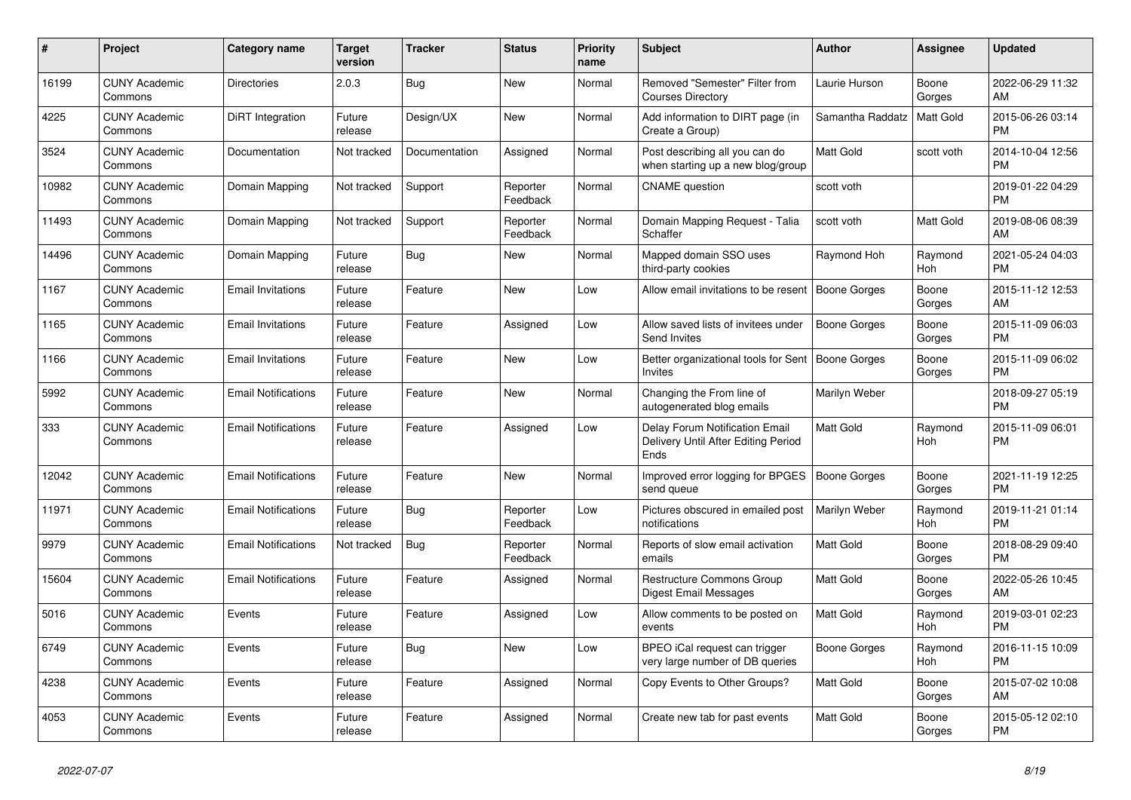| #     | Project                         | Category name              | <b>Target</b><br>version | <b>Tracker</b> | <b>Status</b>        | <b>Priority</b><br>name | <b>Subject</b>                                                                | <b>Author</b>       | Assignee        | <b>Updated</b>                |
|-------|---------------------------------|----------------------------|--------------------------|----------------|----------------------|-------------------------|-------------------------------------------------------------------------------|---------------------|-----------------|-------------------------------|
| 16199 | <b>CUNY Academic</b><br>Commons | <b>Directories</b>         | 2.0.3                    | Bug            | <b>New</b>           | Normal                  | Removed "Semester" Filter from<br><b>Courses Directory</b>                    | Laurie Hurson       | Boone<br>Gorges | 2022-06-29 11:32<br>AM        |
| 4225  | <b>CUNY Academic</b><br>Commons | DiRT Integration           | Future<br>release        | Design/UX      | New                  | Normal                  | Add information to DIRT page (in<br>Create a Group)                           | Samantha Raddatz    | Matt Gold       | 2015-06-26 03:14<br><b>PM</b> |
| 3524  | <b>CUNY Academic</b><br>Commons | Documentation              | Not tracked              | Documentation  | Assigned             | Normal                  | Post describing all you can do<br>when starting up a new blog/group           | Matt Gold           | scott voth      | 2014-10-04 12:56<br><b>PM</b> |
| 10982 | <b>CUNY Academic</b><br>Commons | Domain Mapping             | Not tracked              | Support        | Reporter<br>Feedback | Normal                  | <b>CNAME</b> question                                                         | scott voth          |                 | 2019-01-22 04:29<br><b>PM</b> |
| 11493 | <b>CUNY Academic</b><br>Commons | Domain Mapping             | Not tracked              | Support        | Reporter<br>Feedback | Normal                  | Domain Mapping Request - Talia<br>Schaffer                                    | scott voth          | Matt Gold       | 2019-08-06 08:39<br>AM        |
| 14496 | <b>CUNY Academic</b><br>Commons | Domain Mapping             | Future<br>release        | <b>Bug</b>     | New                  | Normal                  | Mapped domain SSO uses<br>third-party cookies                                 | Raymond Hoh         | Raymond<br>Hoh  | 2021-05-24 04:03<br><b>PM</b> |
| 1167  | <b>CUNY Academic</b><br>Commons | <b>Email Invitations</b>   | Future<br>release        | Feature        | <b>New</b>           | Low                     | Allow email invitations to be resent   Boone Gorges                           |                     | Boone<br>Gorges | 2015-11-12 12:53<br>AM        |
| 1165  | <b>CUNY Academic</b><br>Commons | <b>Email Invitations</b>   | Future<br>release        | Feature        | Assigned             | Low                     | Allow saved lists of invitees under<br>Send Invites                           | <b>Boone Gorges</b> | Boone<br>Gorges | 2015-11-09 06:03<br><b>PM</b> |
| 1166  | <b>CUNY Academic</b><br>Commons | <b>Email Invitations</b>   | Future<br>release        | Feature        | <b>New</b>           | Low                     | Better organizational tools for Sent<br>Invites                               | Boone Gorges        | Boone<br>Gorges | 2015-11-09 06:02<br><b>PM</b> |
| 5992  | <b>CUNY Academic</b><br>Commons | <b>Email Notifications</b> | Future<br>release        | Feature        | <b>New</b>           | Normal                  | Changing the From line of<br>autogenerated blog emails                        | Marilyn Weber       |                 | 2018-09-27 05:19<br><b>PM</b> |
| 333   | <b>CUNY Academic</b><br>Commons | <b>Email Notifications</b> | Future<br>release        | Feature        | Assigned             | Low                     | Delay Forum Notification Email<br>Delivery Until After Editing Period<br>Ends | <b>Matt Gold</b>    | Raymond<br>Hoh  | 2015-11-09 06:01<br><b>PM</b> |
| 12042 | <b>CUNY Academic</b><br>Commons | <b>Email Notifications</b> | Future<br>release        | Feature        | <b>New</b>           | Normal                  | Improved error logging for BPGES<br>send queue                                | <b>Boone Gorges</b> | Boone<br>Gorges | 2021-11-19 12:25<br><b>PM</b> |
| 11971 | <b>CUNY Academic</b><br>Commons | <b>Email Notifications</b> | Future<br>release        | <b>Bug</b>     | Reporter<br>Feedback | Low                     | Pictures obscured in emailed post<br>notifications                            | Marilyn Weber       | Raymond<br>Hoh  | 2019-11-21 01:14<br><b>PM</b> |
| 9979  | <b>CUNY Academic</b><br>Commons | <b>Email Notifications</b> | Not tracked              | <b>Bug</b>     | Reporter<br>Feedback | Normal                  | Reports of slow email activation<br>emails                                    | Matt Gold           | Boone<br>Gorges | 2018-08-29 09:40<br>PM        |
| 15604 | <b>CUNY Academic</b><br>Commons | <b>Email Notifications</b> | Future<br>release        | Feature        | Assigned             | Normal                  | <b>Restructure Commons Group</b><br>Digest Email Messages                     | <b>Matt Gold</b>    | Boone<br>Gorges | 2022-05-26 10:45<br>AM        |
| 5016  | <b>CUNY Academic</b><br>Commons | Events                     | Future<br>release        | Feature        | Assigned             | Low                     | Allow comments to be posted on<br>events                                      | <b>Matt Gold</b>    | Raymond<br>Hoh  | 2019-03-01 02:23<br><b>PM</b> |
| 6749  | <b>CUNY Academic</b><br>Commons | Events                     | Future<br>release        | <b>Bug</b>     | <b>New</b>           | Low                     | BPEO iCal request can trigger<br>very large number of DB queries              | Boone Gorges        | Raymond<br>Hoh  | 2016-11-15 10:09<br><b>PM</b> |
| 4238  | <b>CUNY Academic</b><br>Commons | Events                     | Future<br>release        | Feature        | Assigned             | Normal                  | Copy Events to Other Groups?                                                  | Matt Gold           | Boone<br>Gorges | 2015-07-02 10:08<br>AM        |
| 4053  | <b>CUNY Academic</b><br>Commons | Events                     | Future<br>release        | Feature        | Assigned             | Normal                  | Create new tab for past events                                                | <b>Matt Gold</b>    | Boone<br>Gorges | 2015-05-12 02:10<br><b>PM</b> |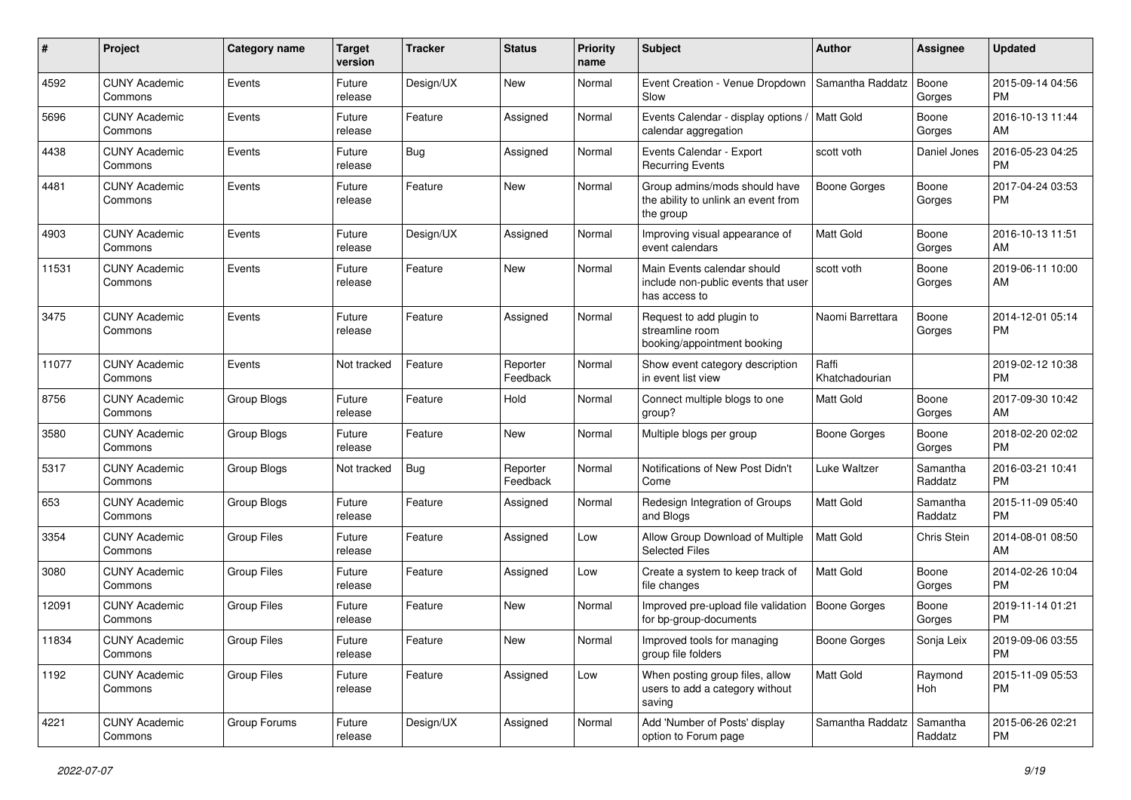| #     | Project                         | <b>Category name</b> | <b>Target</b><br>version | <b>Tracker</b> | <b>Status</b>        | <b>Priority</b><br>name | <b>Subject</b>                                                                      | Author                  | Assignee            | <b>Updated</b>                |
|-------|---------------------------------|----------------------|--------------------------|----------------|----------------------|-------------------------|-------------------------------------------------------------------------------------|-------------------------|---------------------|-------------------------------|
| 4592  | <b>CUNY Academic</b><br>Commons | Events               | Future<br>release        | Design/UX      | <b>New</b>           | Normal                  | Event Creation - Venue Dropdown   Samantha Raddatz<br>Slow                          |                         | Boone<br>Gorges     | 2015-09-14 04:56<br>PM        |
| 5696  | <b>CUNY Academic</b><br>Commons | Events               | Future<br>release        | Feature        | Assigned             | Normal                  | Events Calendar - display options /   Matt Gold<br>calendar aggregation             |                         | Boone<br>Gorges     | 2016-10-13 11:44<br>AM        |
| 4438  | <b>CUNY Academic</b><br>Commons | Events               | Future<br>release        | Bug            | Assigned             | Normal                  | Events Calendar - Export<br><b>Recurring Events</b>                                 | scott voth              | Daniel Jones        | 2016-05-23 04:25<br><b>PM</b> |
| 4481  | <b>CUNY Academic</b><br>Commons | Events               | Future<br>release        | Feature        | <b>New</b>           | Normal                  | Group admins/mods should have<br>the ability to unlink an event from<br>the group   | Boone Gorges            | Boone<br>Gorges     | 2017-04-24 03:53<br>PM        |
| 4903  | <b>CUNY Academic</b><br>Commons | Events               | Future<br>release        | Design/UX      | Assigned             | Normal                  | Improving visual appearance of<br>event calendars                                   | <b>Matt Gold</b>        | Boone<br>Gorges     | 2016-10-13 11:51<br>AM        |
| 11531 | <b>CUNY Academic</b><br>Commons | Events               | Future<br>release        | Feature        | <b>New</b>           | Normal                  | Main Events calendar should<br>include non-public events that user<br>has access to | scott voth              | Boone<br>Gorges     | 2019-06-11 10:00<br>AM        |
| 3475  | <b>CUNY Academic</b><br>Commons | Events               | Future<br>release        | Feature        | Assigned             | Normal                  | Request to add plugin to<br>streamline room<br>booking/appointment booking          | Naomi Barrettara        | Boone<br>Gorges     | 2014-12-01 05:14<br><b>PM</b> |
| 11077 | <b>CUNY Academic</b><br>Commons | Events               | Not tracked              | Feature        | Reporter<br>Feedback | Normal                  | Show event category description<br>in event list view                               | Raffi<br>Khatchadourian |                     | 2019-02-12 10:38<br><b>PM</b> |
| 8756  | <b>CUNY Academic</b><br>Commons | Group Blogs          | Future<br>release        | Feature        | Hold                 | Normal                  | Connect multiple blogs to one<br>group?                                             | <b>Matt Gold</b>        | Boone<br>Gorges     | 2017-09-30 10:42<br>AM        |
| 3580  | <b>CUNY Academic</b><br>Commons | Group Blogs          | Future<br>release        | Feature        | New                  | Normal                  | Multiple blogs per group                                                            | Boone Gorges            | Boone<br>Gorges     | 2018-02-20 02:02<br>PM        |
| 5317  | <b>CUNY Academic</b><br>Commons | Group Blogs          | Not tracked              | Bug            | Reporter<br>Feedback | Normal                  | Notifications of New Post Didn't<br>Come                                            | Luke Waltzer            | Samantha<br>Raddatz | 2016-03-21 10:41<br>PM        |
| 653   | <b>CUNY Academic</b><br>Commons | Group Blogs          | Future<br>release        | Feature        | Assigned             | Normal                  | Redesign Integration of Groups<br>and Blogs                                         | <b>Matt Gold</b>        | Samantha<br>Raddatz | 2015-11-09 05:40<br><b>PM</b> |
| 3354  | <b>CUNY Academic</b><br>Commons | <b>Group Files</b>   | Future<br>release        | Feature        | Assigned             | Low                     | Allow Group Download of Multiple<br><b>Selected Files</b>                           | <b>Matt Gold</b>        | Chris Stein         | 2014-08-01 08:50<br>AM        |
| 3080  | <b>CUNY Academic</b><br>Commons | <b>Group Files</b>   | Future<br>release        | Feature        | Assigned             | Low                     | Create a system to keep track of<br>file changes                                    | <b>Matt Gold</b>        | Boone<br>Gorges     | 2014-02-26 10:04<br><b>PM</b> |
| 12091 | <b>CUNY Academic</b><br>Commons | <b>Group Files</b>   | Future<br>release        | Feature        | <b>New</b>           | Normal                  | Improved pre-upload file validation   Boone Gorges<br>for bp-group-documents        |                         | Boone<br>Gorges     | 2019-11-14 01:21<br><b>PM</b> |
| 11834 | <b>CUNY Academic</b><br>Commons | Group Files          | Future<br>release        | Feature        | New                  | Normal                  | Improved tools for managing<br>group file folders                                   | Boone Gorges            | Sonja Leix          | 2019-09-06 03:55<br><b>PM</b> |
| 1192  | <b>CUNY Academic</b><br>Commons | <b>Group Files</b>   | Future<br>release        | Feature        | Assigned             | Low                     | When posting group files, allow<br>users to add a category without<br>saving        | Matt Gold               | Raymond<br>Hoh      | 2015-11-09 05:53<br><b>PM</b> |
| 4221  | <b>CUNY Academic</b><br>Commons | Group Forums         | Future<br>release        | Design/UX      | Assigned             | Normal                  | Add 'Number of Posts' display<br>option to Forum page                               | Samantha Raddatz        | Samantha<br>Raddatz | 2015-06-26 02:21<br><b>PM</b> |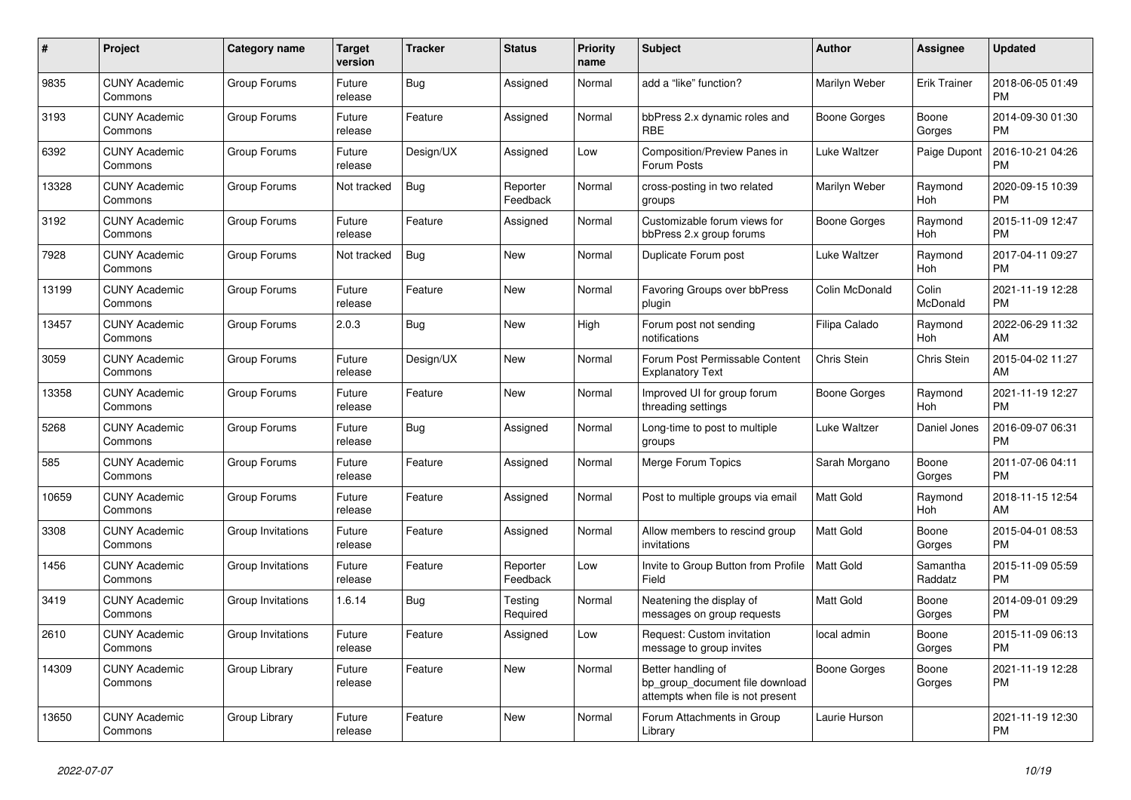| #     | Project                         | <b>Category name</b> | Target<br>version | <b>Tracker</b> | <b>Status</b>        | <b>Priority</b><br>name | <b>Subject</b>                                                                             | <b>Author</b>       | Assignee            | <b>Updated</b>                |
|-------|---------------------------------|----------------------|-------------------|----------------|----------------------|-------------------------|--------------------------------------------------------------------------------------------|---------------------|---------------------|-------------------------------|
| 9835  | <b>CUNY Academic</b><br>Commons | Group Forums         | Future<br>release | Bug            | Assigned             | Normal                  | add a "like" function?                                                                     | Marilyn Weber       | <b>Erik Trainer</b> | 2018-06-05 01:49<br><b>PM</b> |
| 3193  | <b>CUNY Academic</b><br>Commons | Group Forums         | Future<br>release | Feature        | Assigned             | Normal                  | bbPress 2.x dynamic roles and<br><b>RBE</b>                                                | Boone Gorges        | Boone<br>Gorges     | 2014-09-30 01:30<br>PM        |
| 6392  | <b>CUNY Academic</b><br>Commons | Group Forums         | Future<br>release | Design/UX      | Assigned             | Low                     | <b>Composition/Preview Panes in</b><br>Forum Posts                                         | Luke Waltzer        | Paige Dupont        | 2016-10-21 04:26<br><b>PM</b> |
| 13328 | <b>CUNY Academic</b><br>Commons | Group Forums         | Not tracked       | <b>Bug</b>     | Reporter<br>Feedback | Normal                  | cross-posting in two related<br>groups                                                     | Marilyn Weber       | Raymond<br>Hoh      | 2020-09-15 10:39<br><b>PM</b> |
| 3192  | <b>CUNY Academic</b><br>Commons | Group Forums         | Future<br>release | Feature        | Assigned             | Normal                  | Customizable forum views for<br>bbPress 2.x group forums                                   | Boone Gorges        | Raymond<br>Hoh      | 2015-11-09 12:47<br><b>PM</b> |
| 7928  | <b>CUNY Academic</b><br>Commons | Group Forums         | Not tracked       | Bug            | New                  | Normal                  | Duplicate Forum post                                                                       | Luke Waltzer        | Raymond<br>Hoh      | 2017-04-11 09:27<br><b>PM</b> |
| 13199 | <b>CUNY Academic</b><br>Commons | Group Forums         | Future<br>release | Feature        | New                  | Normal                  | Favoring Groups over bbPress<br>plugin                                                     | Colin McDonald      | Colin<br>McDonald   | 2021-11-19 12:28<br><b>PM</b> |
| 13457 | <b>CUNY Academic</b><br>Commons | Group Forums         | 2.0.3             | Bug            | New                  | High                    | Forum post not sending<br>notifications                                                    | Filipa Calado       | Raymond<br>Hoh      | 2022-06-29 11:32<br>AM        |
| 3059  | <b>CUNY Academic</b><br>Commons | Group Forums         | Future<br>release | Design/UX      | <b>New</b>           | Normal                  | Forum Post Permissable Content<br><b>Explanatory Text</b>                                  | Chris Stein         | <b>Chris Stein</b>  | 2015-04-02 11:27<br>AM        |
| 13358 | <b>CUNY Academic</b><br>Commons | Group Forums         | Future<br>release | Feature        | <b>New</b>           | Normal                  | Improved UI for group forum<br>threading settings                                          | Boone Gorges        | Raymond<br>Hoh      | 2021-11-19 12:27<br><b>PM</b> |
| 5268  | <b>CUNY Academic</b><br>Commons | Group Forums         | Future<br>release | Bug            | Assigned             | Normal                  | Long-time to post to multiple<br>groups                                                    | Luke Waltzer        | Daniel Jones        | 2016-09-07 06:31<br><b>PM</b> |
| 585   | <b>CUNY Academic</b><br>Commons | Group Forums         | Future<br>release | Feature        | Assigned             | Normal                  | Merge Forum Topics                                                                         | Sarah Morgano       | Boone<br>Gorges     | 2011-07-06 04:11<br><b>PM</b> |
| 10659 | <b>CUNY Academic</b><br>Commons | Group Forums         | Future<br>release | Feature        | Assigned             | Normal                  | Post to multiple groups via email                                                          | <b>Matt Gold</b>    | Raymond<br>Hoh      | 2018-11-15 12:54<br>AM        |
| 3308  | <b>CUNY Academic</b><br>Commons | Group Invitations    | Future<br>release | Feature        | Assigned             | Normal                  | Allow members to rescind group<br>invitations                                              | <b>Matt Gold</b>    | Boone<br>Gorges     | 2015-04-01 08:53<br>PM        |
| 1456  | <b>CUNY Academic</b><br>Commons | Group Invitations    | Future<br>release | Feature        | Reporter<br>Feedback | Low                     | Invite to Group Button from Profile<br>Field                                               | <b>Matt Gold</b>    | Samantha<br>Raddatz | 2015-11-09 05:59<br><b>PM</b> |
| 3419  | <b>CUNY Academic</b><br>Commons | Group Invitations    | 1.6.14            | Bug            | Testing<br>Required  | Normal                  | Neatening the display of<br>messages on group requests                                     | Matt Gold           | Boone<br>Gorges     | 2014-09-01 09:29<br><b>PM</b> |
| 2610  | <b>CUNY Academic</b><br>Commons | Group Invitations    | Future<br>release | Feature        | Assigned             | Low                     | Request: Custom invitation<br>message to group invites                                     | local admin         | Boone<br>Gorges     | 2015-11-09 06:13<br><b>PM</b> |
| 14309 | <b>CUNY Academic</b><br>Commons | Group Library        | Future<br>release | Feature        | New                  | Normal                  | Better handling of<br>bp group document file download<br>attempts when file is not present | <b>Boone Gorges</b> | Boone<br>Gorges     | 2021-11-19 12:28<br><b>PM</b> |
| 13650 | <b>CUNY Academic</b><br>Commons | Group Library        | Future<br>release | Feature        | <b>New</b>           | Normal                  | Forum Attachments in Group<br>Library                                                      | Laurie Hurson       |                     | 2021-11-19 12:30<br><b>PM</b> |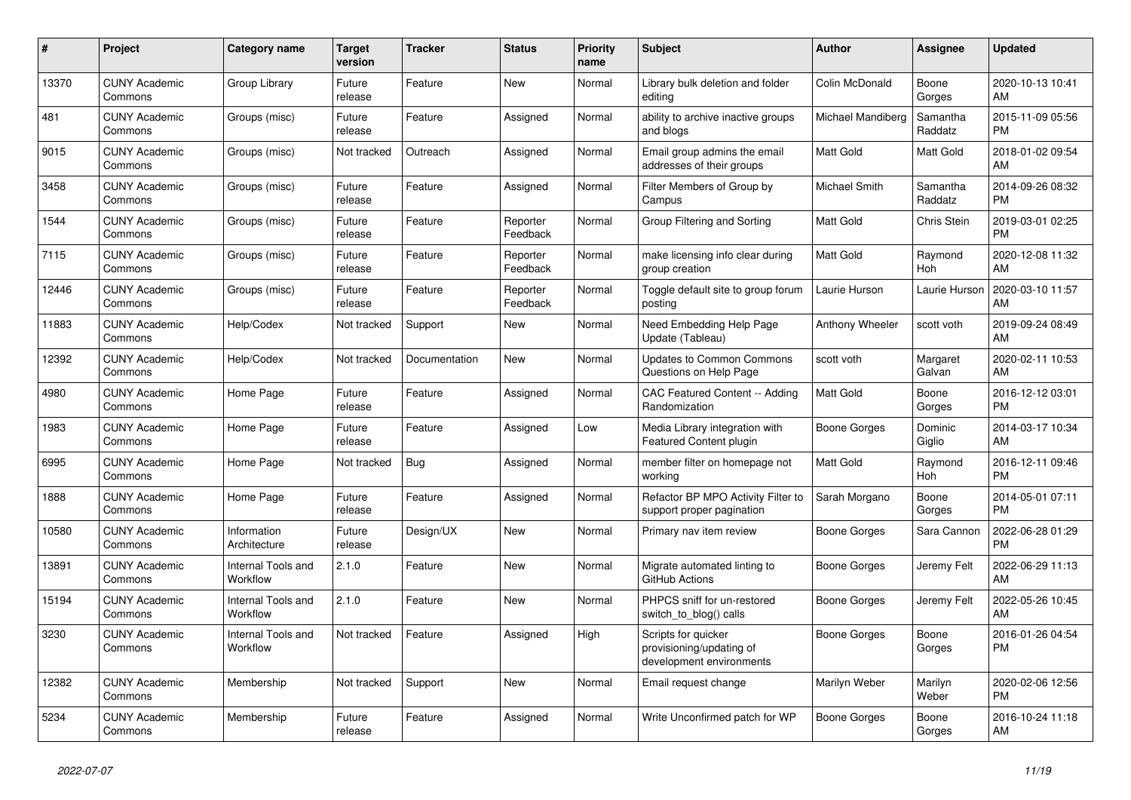| #     | <b>Project</b>                  | <b>Category name</b>           | <b>Target</b><br>version | <b>Tracker</b> | <b>Status</b>        | <b>Priority</b><br>name | <b>Subject</b>                                                              | <b>Author</b>       | Assignee            | <b>Updated</b>                |
|-------|---------------------------------|--------------------------------|--------------------------|----------------|----------------------|-------------------------|-----------------------------------------------------------------------------|---------------------|---------------------|-------------------------------|
| 13370 | <b>CUNY Academic</b><br>Commons | Group Library                  | Future<br>release        | Feature        | New                  | Normal                  | Library bulk deletion and folder<br>editing                                 | Colin McDonald      | Boone<br>Gorges     | 2020-10-13 10:41<br>AM        |
| 481   | <b>CUNY Academic</b><br>Commons | Groups (misc)                  | Future<br>release        | Feature        | Assigned             | Normal                  | ability to archive inactive groups<br>and blogs                             | Michael Mandiberg   | Samantha<br>Raddatz | 2015-11-09 05:56<br><b>PM</b> |
| 9015  | <b>CUNY Academic</b><br>Commons | Groups (misc)                  | Not tracked              | Outreach       | Assigned             | Normal                  | Email group admins the email<br>addresses of their groups                   | Matt Gold           | Matt Gold           | 2018-01-02 09:54<br>AM        |
| 3458  | <b>CUNY Academic</b><br>Commons | Groups (misc)                  | Future<br>release        | Feature        | Assigned             | Normal                  | Filter Members of Group by<br>Campus                                        | Michael Smith       | Samantha<br>Raddatz | 2014-09-26 08:32<br><b>PM</b> |
| 1544  | <b>CUNY Academic</b><br>Commons | Groups (misc)                  | Future<br>release        | Feature        | Reporter<br>Feedback | Normal                  | Group Filtering and Sorting                                                 | <b>Matt Gold</b>    | Chris Stein         | 2019-03-01 02:25<br><b>PM</b> |
| 7115  | <b>CUNY Academic</b><br>Commons | Groups (misc)                  | Future<br>release        | Feature        | Reporter<br>Feedback | Normal                  | make licensing info clear during<br>group creation                          | <b>Matt Gold</b>    | Raymond<br>Hoh      | 2020-12-08 11:32<br>AM        |
| 12446 | <b>CUNY Academic</b><br>Commons | Groups (misc)                  | Future<br>release        | Feature        | Reporter<br>Feedback | Normal                  | Toggle default site to group forum<br>posting                               | Laurie Hurson       | Laurie Hurson       | 2020-03-10 11:57<br>AM        |
| 11883 | <b>CUNY Academic</b><br>Commons | Help/Codex                     | Not tracked              | Support        | <b>New</b>           | Normal                  | Need Embedding Help Page<br>Update (Tableau)                                | Anthony Wheeler     | scott voth          | 2019-09-24 08:49<br>AM        |
| 12392 | <b>CUNY Academic</b><br>Commons | Help/Codex                     | Not tracked              | Documentation  | New                  | Normal                  | <b>Updates to Common Commons</b><br>Questions on Help Page                  | scott voth          | Margaret<br>Galvan  | 2020-02-11 10:53<br>AM        |
| 4980  | <b>CUNY Academic</b><br>Commons | Home Page                      | Future<br>release        | Feature        | Assigned             | Normal                  | CAC Featured Content -- Adding<br>Randomization                             | <b>Matt Gold</b>    | Boone<br>Gorges     | 2016-12-12 03:01<br><b>PM</b> |
| 1983  | <b>CUNY Academic</b><br>Commons | Home Page                      | Future<br>release        | Feature        | Assigned             | Low                     | Media Library integration with<br>Featured Content plugin                   | Boone Gorges        | Dominic<br>Giglio   | 2014-03-17 10:34<br>AM        |
| 6995  | <b>CUNY Academic</b><br>Commons | Home Page                      | Not tracked              | Bug            | Assigned             | Normal                  | member filter on homepage not<br>working                                    | <b>Matt Gold</b>    | Raymond<br>Hoh      | 2016-12-11 09:46<br><b>PM</b> |
| 1888  | <b>CUNY Academic</b><br>Commons | Home Page                      | Future<br>release        | Feature        | Assigned             | Normal                  | Refactor BP MPO Activity Filter to<br>support proper pagination             | Sarah Morgano       | Boone<br>Gorges     | 2014-05-01 07:11<br><b>PM</b> |
| 10580 | <b>CUNY Academic</b><br>Commons | Information<br>Architecture    | Future<br>release        | Design/UX      | <b>New</b>           | Normal                  | Primary nav item review                                                     | Boone Gorges        | Sara Cannon         | 2022-06-28 01:29<br><b>PM</b> |
| 13891 | <b>CUNY Academic</b><br>Commons | Internal Tools and<br>Workflow | 2.1.0                    | Feature        | New                  | Normal                  | Migrate automated linting to<br>GitHub Actions                              | Boone Gorges        | Jeremy Felt         | 2022-06-29 11:13<br>AM        |
| 15194 | <b>CUNY Academic</b><br>Commons | Internal Tools and<br>Workflow | 2.1.0                    | Feature        | New                  | Normal                  | PHPCS sniff for un-restored<br>switch_to_blog() calls                       | Boone Gorges        | Jeremy Felt         | 2022-05-26 10:45<br>AM        |
| 3230  | <b>CUNY Academic</b><br>Commons | Internal Tools and<br>Workflow | Not tracked              | Feature        | Assigned             | High                    | Scripts for quicker<br>provisioning/updating of<br>development environments | Boone Gorges        | Boone<br>Gorges     | 2016-01-26 04:54<br><b>PM</b> |
| 12382 | <b>CUNY Academic</b><br>Commons | Membership                     | Not tracked              | Support        | New                  | Normal                  | Email request change                                                        | Marilyn Weber       | Marilyn<br>Weber    | 2020-02-06 12:56<br><b>PM</b> |
| 5234  | <b>CUNY Academic</b><br>Commons | Membership                     | Future<br>release        | Feature        | Assigned             | Normal                  | Write Unconfirmed patch for WP                                              | <b>Boone Gorges</b> | Boone<br>Gorges     | 2016-10-24 11:18<br>AM        |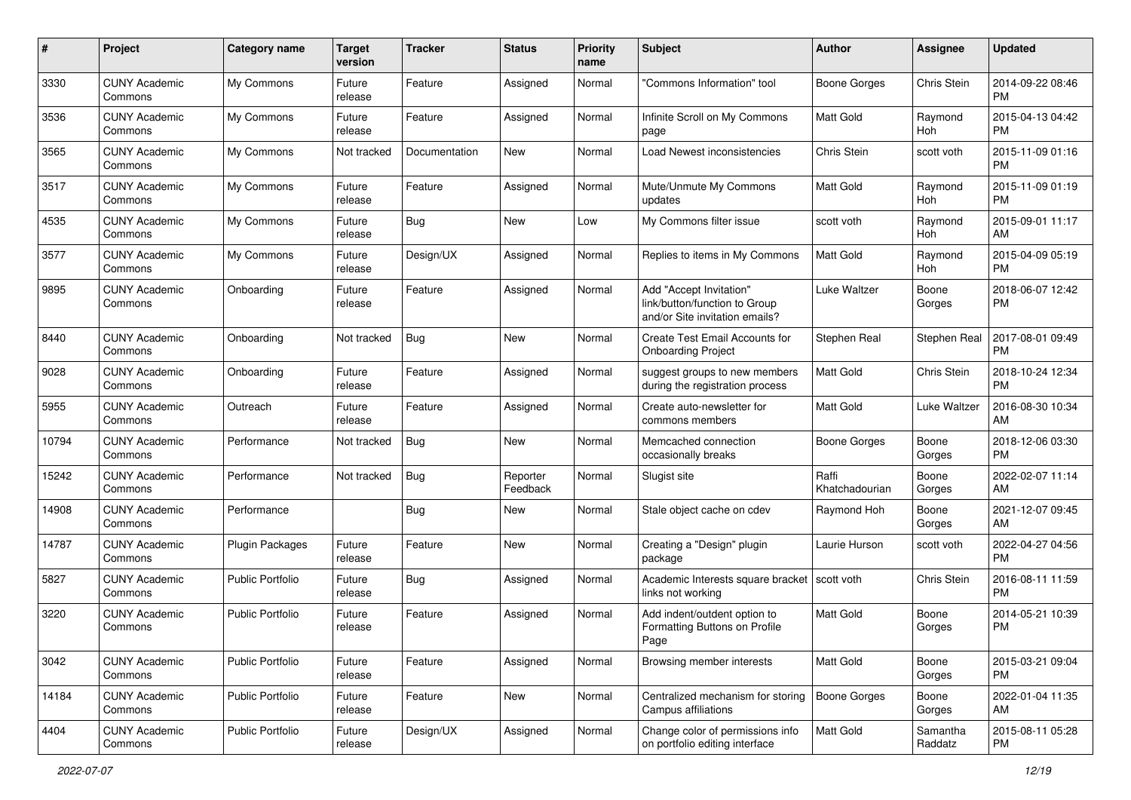| #     | Project                         | <b>Category name</b>    | <b>Target</b><br>version | <b>Tracker</b> | <b>Status</b>        | <b>Priority</b><br>name | <b>Subject</b>                                                                             | Author                  | <b>Assignee</b>     | <b>Updated</b>                |
|-------|---------------------------------|-------------------------|--------------------------|----------------|----------------------|-------------------------|--------------------------------------------------------------------------------------------|-------------------------|---------------------|-------------------------------|
| 3330  | <b>CUNY Academic</b><br>Commons | My Commons              | Future<br>release        | Feature        | Assigned             | Normal                  | 'Commons Information" tool                                                                 | Boone Gorges            | Chris Stein         | 2014-09-22 08:46<br>PM        |
| 3536  | <b>CUNY Academic</b><br>Commons | My Commons              | Future<br>release        | Feature        | Assigned             | Normal                  | Infinite Scroll on My Commons<br>page                                                      | <b>Matt Gold</b>        | Raymond<br>Hoh      | 2015-04-13 04:42<br><b>PM</b> |
| 3565  | <b>CUNY Academic</b><br>Commons | My Commons              | Not tracked              | Documentation  | New                  | Normal                  | Load Newest inconsistencies                                                                | Chris Stein             | scott voth          | 2015-11-09 01:16<br><b>PM</b> |
| 3517  | <b>CUNY Academic</b><br>Commons | My Commons              | Future<br>release        | Feature        | Assigned             | Normal                  | Mute/Unmute My Commons<br>updates                                                          | <b>Matt Gold</b>        | Raymond<br>Hoh      | 2015-11-09 01:19<br><b>PM</b> |
| 4535  | <b>CUNY Academic</b><br>Commons | My Commons              | Future<br>release        | Bug            | New                  | Low                     | My Commons filter issue                                                                    | scott voth              | Raymond<br>Hoh      | 2015-09-01 11:17<br>AM        |
| 3577  | <b>CUNY Academic</b><br>Commons | My Commons              | Future<br>release        | Design/UX      | Assigned             | Normal                  | Replies to items in My Commons                                                             | Matt Gold               | Raymond<br>Hoh      | 2015-04-09 05:19<br><b>PM</b> |
| 9895  | <b>CUNY Academic</b><br>Commons | Onboarding              | Future<br>release        | Feature        | Assigned             | Normal                  | Add "Accept Invitation"<br>link/button/function to Group<br>and/or Site invitation emails? | Luke Waltzer            | Boone<br>Gorges     | 2018-06-07 12:42<br><b>PM</b> |
| 8440  | <b>CUNY Academic</b><br>Commons | Onboarding              | Not tracked              | <b>Bug</b>     | New                  | Normal                  | Create Test Email Accounts for<br><b>Onboarding Project</b>                                | Stephen Real            | Stephen Real        | 2017-08-01 09:49<br><b>PM</b> |
| 9028  | <b>CUNY Academic</b><br>Commons | Onboarding              | Future<br>release        | Feature        | Assigned             | Normal                  | suggest groups to new members<br>during the registration process                           | <b>Matt Gold</b>        | Chris Stein         | 2018-10-24 12:34<br><b>PM</b> |
| 5955  | <b>CUNY Academic</b><br>Commons | Outreach                | Future<br>release        | Feature        | Assigned             | Normal                  | Create auto-newsletter for<br>commons members                                              | <b>Matt Gold</b>        | <b>Luke Waltzer</b> | 2016-08-30 10:34<br>AM        |
| 10794 | <b>CUNY Academic</b><br>Commons | Performance             | Not tracked              | Bug            | New                  | Normal                  | Memcached connection<br>occasionally breaks                                                | Boone Gorges            | Boone<br>Gorges     | 2018-12-06 03:30<br><b>PM</b> |
| 15242 | <b>CUNY Academic</b><br>Commons | Performance             | Not tracked              | Bug            | Reporter<br>Feedback | Normal                  | Slugist site                                                                               | Raffi<br>Khatchadourian | Boone<br>Gorges     | 2022-02-07 11:14<br>AM        |
| 14908 | <b>CUNY Academic</b><br>Commons | Performance             |                          | <b>Bug</b>     | New                  | Normal                  | Stale object cache on cdev                                                                 | Raymond Hoh             | Boone<br>Gorges     | 2021-12-07 09:45<br>AM        |
| 14787 | <b>CUNY Academic</b><br>Commons | <b>Plugin Packages</b>  | Future<br>release        | Feature        | New                  | Normal                  | Creating a "Design" plugin<br>package                                                      | Laurie Hurson           | scott voth          | 2022-04-27 04:56<br><b>PM</b> |
| 5827  | <b>CUNY Academic</b><br>Commons | <b>Public Portfolio</b> | Future<br>release        | Bug            | Assigned             | Normal                  | Academic Interests square bracket   scott voth<br>links not working                        |                         | Chris Stein         | 2016-08-11 11:59<br><b>PM</b> |
| 3220  | <b>CUNY Academic</b><br>Commons | <b>Public Portfolio</b> | Future<br>release        | Feature        | Assigned             | Normal                  | Add indent/outdent option to<br>Formatting Buttons on Profile<br>Page                      | <b>Matt Gold</b>        | Boone<br>Gorges     | 2014-05-21 10:39<br><b>PM</b> |
| 3042  | <b>CUNY Academic</b><br>Commons | <b>Public Portfolio</b> | Future<br>release        | Feature        | Assigned             | Normal                  | Browsing member interests                                                                  | <b>Matt Gold</b>        | Boone<br>Gorges     | 2015-03-21 09:04<br><b>PM</b> |
| 14184 | <b>CUNY Academic</b><br>Commons | <b>Public Portfolio</b> | Future<br>release        | Feature        | New                  | Normal                  | Centralized mechanism for storing<br>Campus affiliations                                   | Boone Gorges            | Boone<br>Gorges     | 2022-01-04 11:35<br>AM        |
| 4404  | <b>CUNY Academic</b><br>Commons | Public Portfolio        | Future<br>release        | Design/UX      | Assigned             | Normal                  | Change color of permissions info<br>on portfolio editing interface                         | Matt Gold               | Samantha<br>Raddatz | 2015-08-11 05:28<br><b>PM</b> |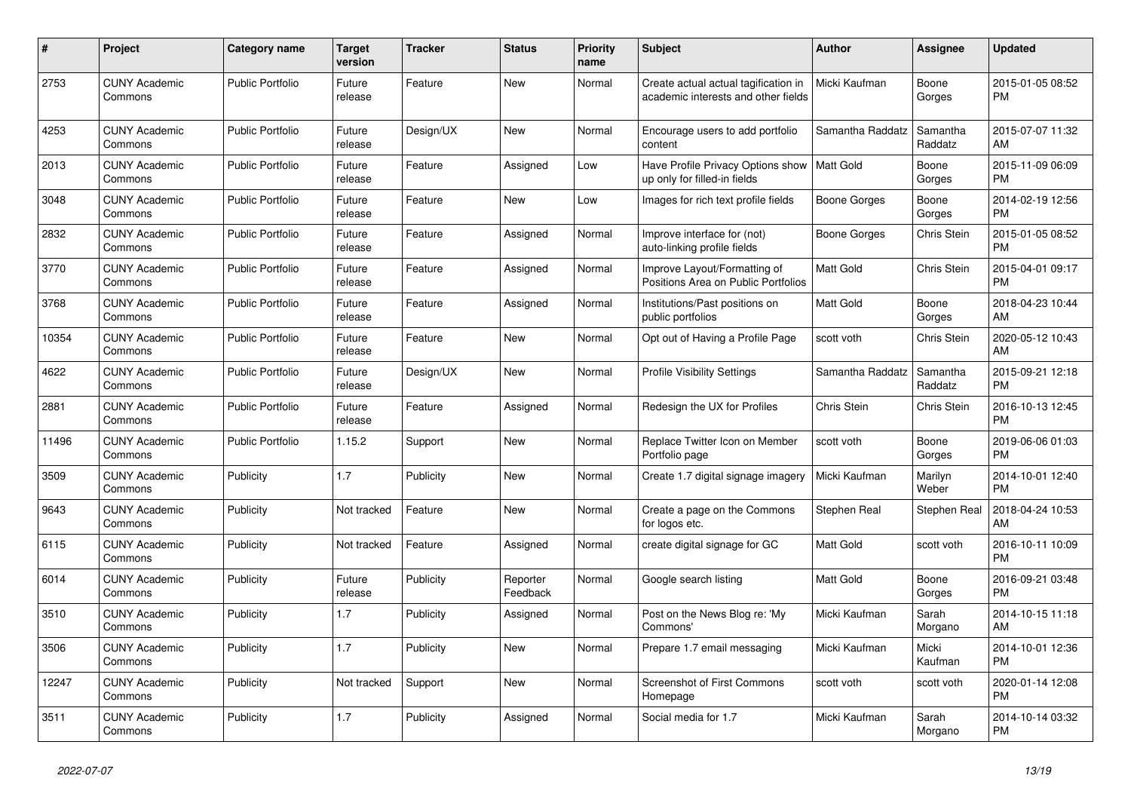| #     | <b>Project</b>                  | <b>Category name</b>    | <b>Target</b><br>version | <b>Tracker</b> | <b>Status</b>        | <b>Priority</b><br>name | <b>Subject</b>                                                              | <b>Author</b>    | Assignee            | <b>Updated</b>                |
|-------|---------------------------------|-------------------------|--------------------------|----------------|----------------------|-------------------------|-----------------------------------------------------------------------------|------------------|---------------------|-------------------------------|
| 2753  | <b>CUNY Academic</b><br>Commons | <b>Public Portfolio</b> | Future<br>release        | Feature        | New                  | Normal                  | Create actual actual tagification in<br>academic interests and other fields | Micki Kaufman    | Boone<br>Gorges     | 2015-01-05 08:52<br><b>PM</b> |
| 4253  | <b>CUNY Academic</b><br>Commons | <b>Public Portfolio</b> | Future<br>release        | Design/UX      | New                  | Normal                  | Encourage users to add portfolio<br>content                                 | Samantha Raddatz | Samantha<br>Raddatz | 2015-07-07 11:32<br>AM        |
| 2013  | <b>CUNY Academic</b><br>Commons | <b>Public Portfolio</b> | Future<br>release        | Feature        | Assigned             | Low                     | Have Profile Privacy Options show<br>up only for filled-in fields           | Matt Gold        | Boone<br>Gorges     | 2015-11-09 06:09<br><b>PM</b> |
| 3048  | <b>CUNY Academic</b><br>Commons | <b>Public Portfolio</b> | Future<br>release        | Feature        | New                  | Low                     | Images for rich text profile fields                                         | Boone Gorges     | Boone<br>Gorges     | 2014-02-19 12:56<br><b>PM</b> |
| 2832  | <b>CUNY Academic</b><br>Commons | <b>Public Portfolio</b> | Future<br>release        | Feature        | Assigned             | Normal                  | Improve interface for (not)<br>auto-linking profile fields                  | Boone Gorges     | Chris Stein         | 2015-01-05 08:52<br><b>PM</b> |
| 3770  | <b>CUNY Academic</b><br>Commons | <b>Public Portfolio</b> | Future<br>release        | Feature        | Assigned             | Normal                  | Improve Layout/Formatting of<br>Positions Area on Public Portfolios         | <b>Matt Gold</b> | <b>Chris Stein</b>  | 2015-04-01 09:17<br><b>PM</b> |
| 3768  | <b>CUNY Academic</b><br>Commons | <b>Public Portfolio</b> | Future<br>release        | Feature        | Assigned             | Normal                  | Institutions/Past positions on<br>public portfolios                         | Matt Gold        | Boone<br>Gorges     | 2018-04-23 10:44<br>AM        |
| 10354 | <b>CUNY Academic</b><br>Commons | <b>Public Portfolio</b> | Future<br>release        | Feature        | <b>New</b>           | Normal                  | Opt out of Having a Profile Page                                            | scott voth       | Chris Stein         | 2020-05-12 10:43<br>AM        |
| 4622  | <b>CUNY Academic</b><br>Commons | <b>Public Portfolio</b> | Future<br>release        | Design/UX      | <b>New</b>           | Normal                  | <b>Profile Visibility Settings</b>                                          | Samantha Raddatz | Samantha<br>Raddatz | 2015-09-21 12:18<br><b>PM</b> |
| 2881  | <b>CUNY Academic</b><br>Commons | <b>Public Portfolio</b> | Future<br>release        | Feature        | Assigned             | Normal                  | Redesign the UX for Profiles                                                | Chris Stein      | Chris Stein         | 2016-10-13 12:45<br><b>PM</b> |
| 11496 | <b>CUNY Academic</b><br>Commons | Public Portfolio        | 1.15.2                   | Support        | New                  | Normal                  | Replace Twitter Icon on Member<br>Portfolio page                            | scott voth       | Boone<br>Gorges     | 2019-06-06 01:03<br><b>PM</b> |
| 3509  | <b>CUNY Academic</b><br>Commons | Publicity               | 1.7                      | Publicity      | <b>New</b>           | Normal                  | Create 1.7 digital signage imagery                                          | Micki Kaufman    | Marilyn<br>Weber    | 2014-10-01 12:40<br><b>PM</b> |
| 9643  | <b>CUNY Academic</b><br>Commons | Publicity               | Not tracked              | Feature        | <b>New</b>           | Normal                  | Create a page on the Commons<br>for logos etc.                              | Stephen Real     | Stephen Real        | 2018-04-24 10:53<br>AM        |
| 6115  | <b>CUNY Academic</b><br>Commons | Publicity               | Not tracked              | Feature        | Assigned             | Normal                  | create digital signage for GC                                               | Matt Gold        | scott voth          | 2016-10-11 10:09<br><b>PM</b> |
| 6014  | <b>CUNY Academic</b><br>Commons | Publicity               | Future<br>release        | Publicity      | Reporter<br>Feedback | Normal                  | Google search listing                                                       | <b>Matt Gold</b> | Boone<br>Gorges     | 2016-09-21 03:48<br><b>PM</b> |
| 3510  | <b>CUNY Academic</b><br>Commons | Publicity               | 1.7                      | Publicity      | Assigned             | Normal                  | Post on the News Blog re: 'My<br>Commons'                                   | Micki Kaufman    | Sarah<br>Morgano    | 2014-10-15 11:18<br>AM        |
| 3506  | <b>CUNY Academic</b><br>Commons | Publicity               | 1.7                      | Publicity      | New                  | Normal                  | Prepare 1.7 email messaging                                                 | Micki Kaufman    | Micki<br>Kaufman    | 2014-10-01 12:36<br><b>PM</b> |
| 12247 | <b>CUNY Academic</b><br>Commons | Publicity               | Not tracked              | Support        | <b>New</b>           | Normal                  | <b>Screenshot of First Commons</b><br>Homepage                              | scott voth       | scott voth          | 2020-01-14 12:08<br><b>PM</b> |
| 3511  | <b>CUNY Academic</b><br>Commons | Publicity               | 1.7                      | Publicity      | Assigned             | Normal                  | Social media for 1.7                                                        | Micki Kaufman    | Sarah<br>Morgano    | 2014-10-14 03:32<br><b>PM</b> |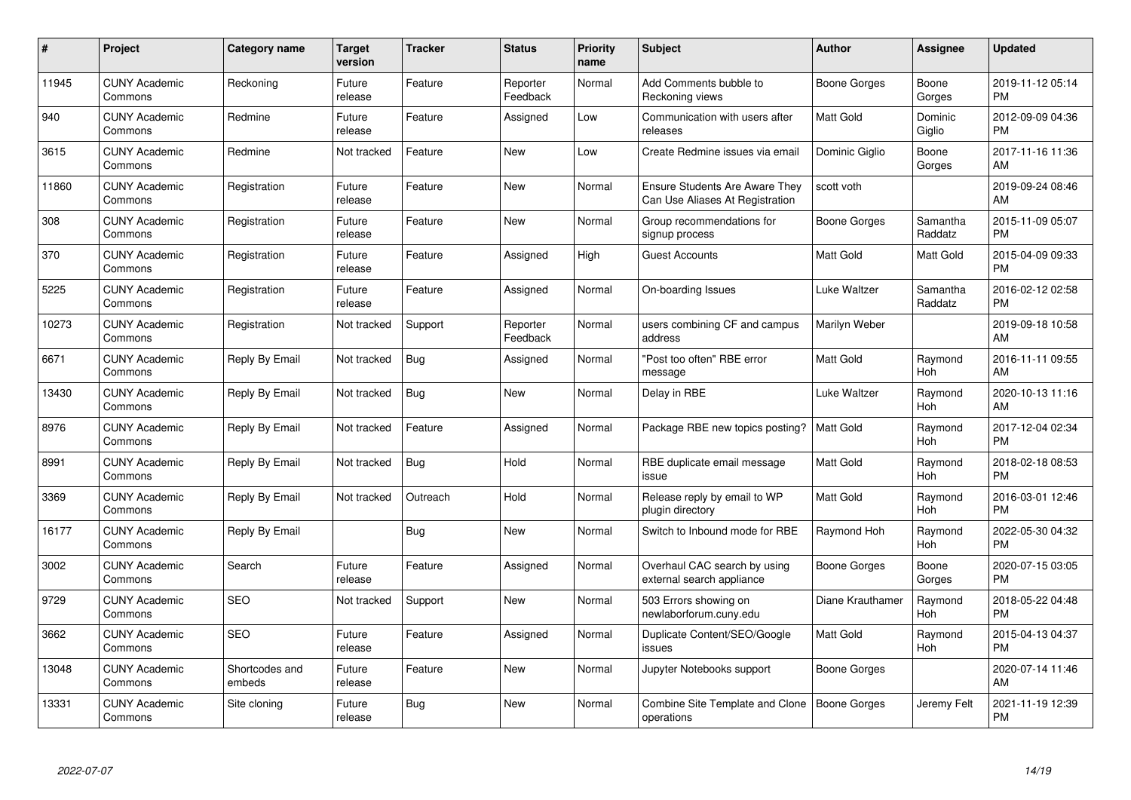| $\pmb{\#}$ | Project                         | <b>Category name</b>     | <b>Target</b><br>version | <b>Tracker</b> | <b>Status</b>        | <b>Priority</b><br>name | <b>Subject</b>                                                           | <b>Author</b>       | <b>Assignee</b>     | <b>Updated</b>                |
|------------|---------------------------------|--------------------------|--------------------------|----------------|----------------------|-------------------------|--------------------------------------------------------------------------|---------------------|---------------------|-------------------------------|
| 11945      | <b>CUNY Academic</b><br>Commons | Reckoning                | Future<br>release        | Feature        | Reporter<br>Feedback | Normal                  | Add Comments bubble to<br>Reckoning views                                | Boone Gorges        | Boone<br>Gorges     | 2019-11-12 05:14<br><b>PM</b> |
| 940        | <b>CUNY Academic</b><br>Commons | Redmine                  | Future<br>release        | Feature        | Assigned             | Low                     | Communication with users after<br>releases                               | <b>Matt Gold</b>    | Dominic<br>Giglio   | 2012-09-09 04:36<br><b>PM</b> |
| 3615       | <b>CUNY Academic</b><br>Commons | Redmine                  | Not tracked              | Feature        | New                  | Low                     | Create Redmine issues via email                                          | Dominic Giglio      | Boone<br>Gorges     | 2017-11-16 11:36<br>AM        |
| 11860      | <b>CUNY Academic</b><br>Commons | Registration             | Future<br>release        | Feature        | <b>New</b>           | Normal                  | <b>Ensure Students Are Aware They</b><br>Can Use Aliases At Registration | scott voth          |                     | 2019-09-24 08:46<br>AM        |
| 308        | <b>CUNY Academic</b><br>Commons | Registration             | Future<br>release        | Feature        | <b>New</b>           | Normal                  | Group recommendations for<br>signup process                              | Boone Gorges        | Samantha<br>Raddatz | 2015-11-09 05:07<br><b>PM</b> |
| 370        | <b>CUNY Academic</b><br>Commons | Registration             | Future<br>release        | Feature        | Assigned             | High                    | <b>Guest Accounts</b>                                                    | <b>Matt Gold</b>    | Matt Gold           | 2015-04-09 09:33<br><b>PM</b> |
| 5225       | <b>CUNY Academic</b><br>Commons | Registration             | Future<br>release        | Feature        | Assigned             | Normal                  | On-boarding Issues                                                       | Luke Waltzer        | Samantha<br>Raddatz | 2016-02-12 02:58<br><b>PM</b> |
| 10273      | <b>CUNY Academic</b><br>Commons | Registration             | Not tracked              | Support        | Reporter<br>Feedback | Normal                  | users combining CF and campus<br>address                                 | Marilyn Weber       |                     | 2019-09-18 10:58<br>AM        |
| 6671       | <b>CUNY Academic</b><br>Commons | Reply By Email           | Not tracked              | <b>Bug</b>     | Assigned             | Normal                  | "Post too often" RBE error<br>message                                    | <b>Matt Gold</b>    | Raymond<br>Hoh      | 2016-11-11 09:55<br>AM        |
| 13430      | <b>CUNY Academic</b><br>Commons | Reply By Email           | Not tracked              | <b>Bug</b>     | <b>New</b>           | Normal                  | Delay in RBE                                                             | <b>Luke Waltzer</b> | Raymond<br>Hoh      | 2020-10-13 11:16<br>AM        |
| 8976       | <b>CUNY Academic</b><br>Commons | Reply By Email           | Not tracked              | Feature        | Assigned             | Normal                  | Package RBE new topics posting?                                          | <b>Matt Gold</b>    | Raymond<br>Hoh      | 2017-12-04 02:34<br><b>PM</b> |
| 8991       | <b>CUNY Academic</b><br>Commons | Reply By Email           | Not tracked              | <b>Bug</b>     | Hold                 | Normal                  | RBE duplicate email message<br>issue                                     | Matt Gold           | Raymond<br>Hoh      | 2018-02-18 08:53<br><b>PM</b> |
| 3369       | <b>CUNY Academic</b><br>Commons | Reply By Email           | Not tracked              | Outreach       | Hold                 | Normal                  | Release reply by email to WP<br>plugin directory                         | <b>Matt Gold</b>    | Raymond<br>Hoh      | 2016-03-01 12:46<br><b>PM</b> |
| 16177      | <b>CUNY Academic</b><br>Commons | Reply By Email           |                          | Bug            | New                  | Normal                  | Switch to Inbound mode for RBE                                           | Raymond Hoh         | Raymond<br>Hoh      | 2022-05-30 04:32<br><b>PM</b> |
| 3002       | <b>CUNY Academic</b><br>Commons | Search                   | Future<br>release        | Feature        | Assigned             | Normal                  | Overhaul CAC search by using<br>external search appliance                | Boone Gorges        | Boone<br>Gorges     | 2020-07-15 03:05<br><b>PM</b> |
| 9729       | <b>CUNY Academic</b><br>Commons | <b>SEO</b>               | Not tracked              | Support        | <b>New</b>           | Normal                  | 503 Errors showing on<br>newlaborforum.cuny.edu                          | Diane Krauthamer    | Raymond<br>Hoh      | 2018-05-22 04:48<br><b>PM</b> |
| 3662       | <b>CUNY Academic</b><br>Commons | <b>SEO</b>               | Future<br>release        | Feature        | Assigned             | Normal                  | Duplicate Content/SEO/Google<br>issues                                   | <b>Matt Gold</b>    | Raymond<br>Hoh      | 2015-04-13 04:37<br><b>PM</b> |
| 13048      | <b>CUNY Academic</b><br>Commons | Shortcodes and<br>embeds | Future<br>release        | Feature        | New                  | Normal                  | Jupyter Notebooks support                                                | Boone Gorges        |                     | 2020-07-14 11:46<br>AM        |
| 13331      | <b>CUNY Academic</b><br>Commons | Site cloning             | Future<br>release        | <b>Bug</b>     | <b>New</b>           | Normal                  | <b>Combine Site Template and Clone</b><br>operations                     | Boone Gorges        | Jeremy Felt         | 2021-11-19 12:39<br><b>PM</b> |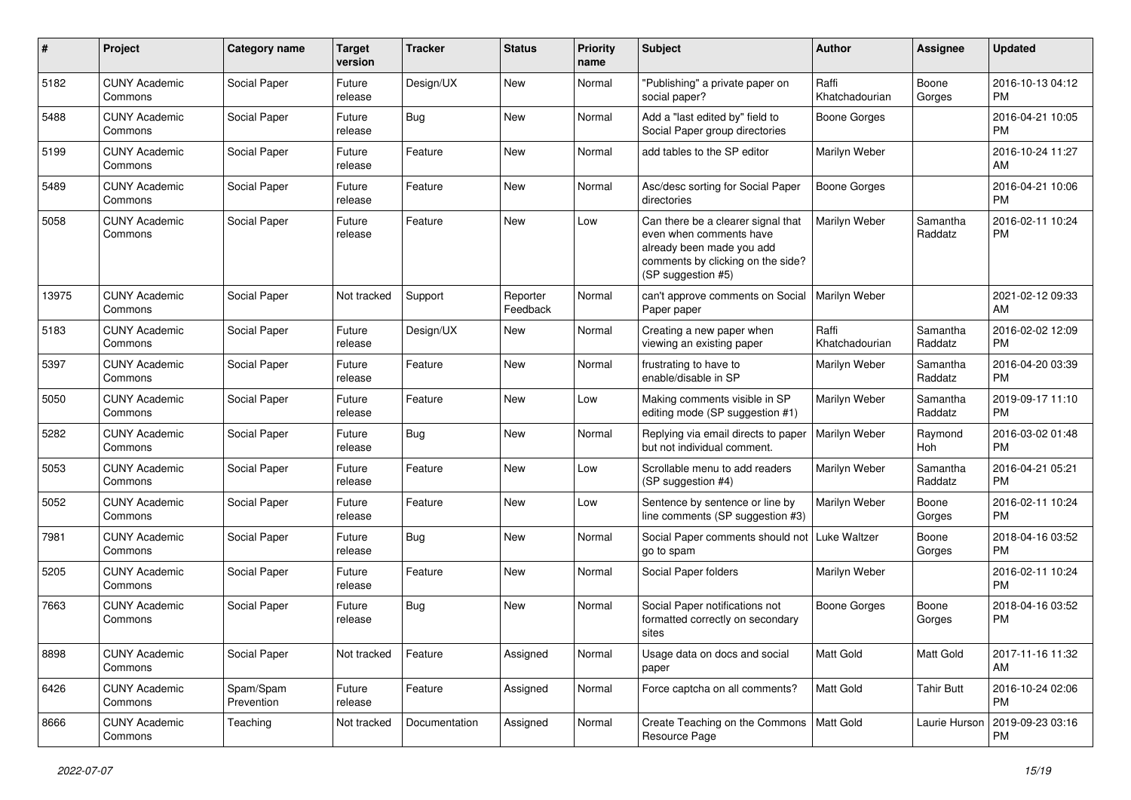| #     | Project                         | <b>Category name</b>    | <b>Target</b><br>version | <b>Tracker</b> | <b>Status</b>        | <b>Priority</b><br>name | <b>Subject</b>                                                                                                                                        | <b>Author</b>           | <b>Assignee</b>     | <b>Updated</b>                |
|-------|---------------------------------|-------------------------|--------------------------|----------------|----------------------|-------------------------|-------------------------------------------------------------------------------------------------------------------------------------------------------|-------------------------|---------------------|-------------------------------|
| 5182  | <b>CUNY Academic</b><br>Commons | Social Paper            | Future<br>release        | Design/UX      | New                  | Normal                  | "Publishing" a private paper on<br>social paper?                                                                                                      | Raffi<br>Khatchadourian | Boone<br>Gorges     | 2016-10-13 04:12<br><b>PM</b> |
| 5488  | <b>CUNY Academic</b><br>Commons | Social Paper            | Future<br>release        | Bug            | New                  | Normal                  | Add a "last edited by" field to<br>Social Paper group directories                                                                                     | Boone Gorges            |                     | 2016-04-21 10:05<br><b>PM</b> |
| 5199  | <b>CUNY Academic</b><br>Commons | Social Paper            | Future<br>release        | Feature        | New                  | Normal                  | add tables to the SP editor                                                                                                                           | Marilyn Weber           |                     | 2016-10-24 11:27<br>AM        |
| 5489  | <b>CUNY Academic</b><br>Commons | Social Paper            | Future<br>release        | Feature        | <b>New</b>           | Normal                  | Asc/desc sorting for Social Paper<br>directories                                                                                                      | <b>Boone Gorges</b>     |                     | 2016-04-21 10:06<br><b>PM</b> |
| 5058  | <b>CUNY Academic</b><br>Commons | Social Paper            | Future<br>release        | Feature        | New                  | Low                     | Can there be a clearer signal that<br>even when comments have<br>already been made you add<br>comments by clicking on the side?<br>(SP suggestion #5) | Marilyn Weber           | Samantha<br>Raddatz | 2016-02-11 10:24<br><b>PM</b> |
| 13975 | <b>CUNY Academic</b><br>Commons | Social Paper            | Not tracked              | Support        | Reporter<br>Feedback | Normal                  | can't approve comments on Social<br>Paper paper                                                                                                       | Marilyn Weber           |                     | 2021-02-12 09:33<br>AM        |
| 5183  | <b>CUNY Academic</b><br>Commons | Social Paper            | Future<br>release        | Design/UX      | New                  | Normal                  | Creating a new paper when<br>viewing an existing paper                                                                                                | Raffi<br>Khatchadourian | Samantha<br>Raddatz | 2016-02-02 12:09<br><b>PM</b> |
| 5397  | <b>CUNY Academic</b><br>Commons | Social Paper            | Future<br>release        | Feature        | New                  | Normal                  | frustrating to have to<br>enable/disable in SP                                                                                                        | Marilyn Weber           | Samantha<br>Raddatz | 2016-04-20 03:39<br><b>PM</b> |
| 5050  | <b>CUNY Academic</b><br>Commons | Social Paper            | Future<br>release        | Feature        | New                  | Low                     | Making comments visible in SP<br>editing mode (SP suggestion #1)                                                                                      | Marilyn Weber           | Samantha<br>Raddatz | 2019-09-17 11:10<br><b>PM</b> |
| 5282  | <b>CUNY Academic</b><br>Commons | Social Paper            | Future<br>release        | Bug            | New                  | Normal                  | Replying via email directs to paper<br>but not individual comment.                                                                                    | Marilyn Weber           | Raymond<br>Hoh      | 2016-03-02 01:48<br><b>PM</b> |
| 5053  | <b>CUNY Academic</b><br>Commons | Social Paper            | Future<br>release        | Feature        | New                  | Low                     | Scrollable menu to add readers<br>(SP suggestion #4)                                                                                                  | Marilyn Weber           | Samantha<br>Raddatz | 2016-04-21 05:21<br><b>PM</b> |
| 5052  | <b>CUNY Academic</b><br>Commons | Social Paper            | Future<br>release        | Feature        | New                  | Low                     | Sentence by sentence or line by<br>line comments (SP suggestion #3)                                                                                   | Marilyn Weber           | Boone<br>Gorges     | 2016-02-11 10:24<br><b>PM</b> |
| 7981  | <b>CUNY Academic</b><br>Commons | Social Paper            | Future<br>release        | Bug            | New                  | Normal                  | Social Paper comments should not<br>go to spam                                                                                                        | <b>Luke Waltzer</b>     | Boone<br>Gorges     | 2018-04-16 03:52<br><b>PM</b> |
| 5205  | <b>CUNY Academic</b><br>Commons | Social Paper            | Future<br>release        | Feature        | <b>New</b>           | Normal                  | Social Paper folders                                                                                                                                  | Marilyn Weber           |                     | 2016-02-11 10:24<br><b>PM</b> |
| 7663  | <b>CUNY Academic</b><br>Commons | Social Paper            | Future<br>release        | Bug            | New                  | Normal                  | Social Paper notifications not<br>formatted correctly on secondary<br>sites                                                                           | Boone Gorges            | Boone<br>Gorges     | 2018-04-16 03:52<br><b>PM</b> |
| 8898  | <b>CUNY Academic</b><br>Commons | Social Paper            | Not tracked              | Feature        | Assigned             | Normal                  | Usage data on docs and social<br>paper                                                                                                                | Matt Gold               | Matt Gold           | 2017-11-16 11:32<br>AM        |
| 6426  | <b>CUNY Academic</b><br>Commons | Spam/Spam<br>Prevention | Future<br>release        | Feature        | Assigned             | Normal                  | Force captcha on all comments?                                                                                                                        | Matt Gold               | <b>Tahir Butt</b>   | 2016-10-24 02:06<br><b>PM</b> |
| 8666  | <b>CUNY Academic</b><br>Commons | Teaching                | Not tracked              | Documentation  | Assigned             | Normal                  | Create Teaching on the Commons<br>Resource Page                                                                                                       | Matt Gold               | Laurie Hurson       | 2019-09-23 03:16<br><b>PM</b> |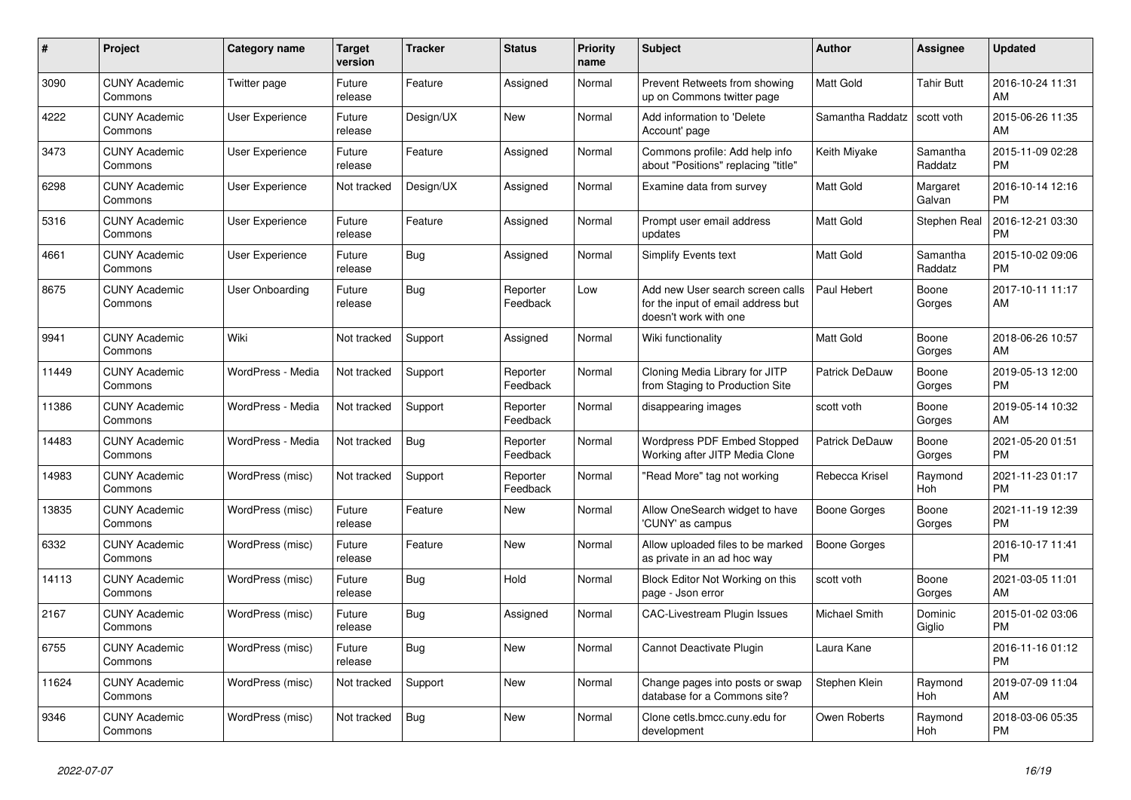| #     | Project                         | <b>Category name</b>   | <b>Target</b><br>version | <b>Tracker</b> | <b>Status</b>        | <b>Priority</b><br>name | <b>Subject</b>                                                                                  | <b>Author</b>       | Assignee            | <b>Updated</b>                |
|-------|---------------------------------|------------------------|--------------------------|----------------|----------------------|-------------------------|-------------------------------------------------------------------------------------------------|---------------------|---------------------|-------------------------------|
| 3090  | <b>CUNY Academic</b><br>Commons | Twitter page           | Future<br>release        | Feature        | Assigned             | Normal                  | Prevent Retweets from showing<br>up on Commons twitter page                                     | <b>Matt Gold</b>    | <b>Tahir Butt</b>   | 2016-10-24 11:31<br>AM        |
| 4222  | <b>CUNY Academic</b><br>Commons | User Experience        | Future<br>release        | Design/UX      | New                  | Normal                  | Add information to 'Delete<br>Account' page                                                     | Samantha Raddatz    | scott voth          | 2015-06-26 11:35<br>AM        |
| 3473  | <b>CUNY Academic</b><br>Commons | <b>User Experience</b> | Future<br>release        | Feature        | Assigned             | Normal                  | Commons profile: Add help info<br>about "Positions" replacing "title"                           | Keith Miyake        | Samantha<br>Raddatz | 2015-11-09 02:28<br><b>PM</b> |
| 6298  | <b>CUNY Academic</b><br>Commons | User Experience        | Not tracked              | Design/UX      | Assigned             | Normal                  | Examine data from survey                                                                        | <b>Matt Gold</b>    | Margaret<br>Galvan  | 2016-10-14 12:16<br><b>PM</b> |
| 5316  | <b>CUNY Academic</b><br>Commons | User Experience        | Future<br>release        | Feature        | Assigned             | Normal                  | Prompt user email address<br>updates                                                            | Matt Gold           | Stephen Real        | 2016-12-21 03:30<br><b>PM</b> |
| 4661  | <b>CUNY Academic</b><br>Commons | <b>User Experience</b> | Future<br>release        | Bug            | Assigned             | Normal                  | <b>Simplify Events text</b>                                                                     | Matt Gold           | Samantha<br>Raddatz | 2015-10-02 09:06<br><b>PM</b> |
| 8675  | <b>CUNY Academic</b><br>Commons | User Onboarding        | Future<br>release        | <b>Bug</b>     | Reporter<br>Feedback | Low                     | Add new User search screen calls<br>for the input of email address but<br>doesn't work with one | Paul Hebert         | Boone<br>Gorges     | 2017-10-11 11:17<br>AM        |
| 9941  | <b>CUNY Academic</b><br>Commons | Wiki                   | Not tracked              | Support        | Assigned             | Normal                  | Wiki functionality                                                                              | <b>Matt Gold</b>    | Boone<br>Gorges     | 2018-06-26 10:57<br>AM        |
| 11449 | <b>CUNY Academic</b><br>Commons | WordPress - Media      | Not tracked              | Support        | Reporter<br>Feedback | Normal                  | Cloning Media Library for JITP<br>from Staging to Production Site                               | Patrick DeDauw      | Boone<br>Gorges     | 2019-05-13 12:00<br><b>PM</b> |
| 11386 | <b>CUNY Academic</b><br>Commons | WordPress - Media      | Not tracked              | Support        | Reporter<br>Feedback | Normal                  | disappearing images                                                                             | scott voth          | Boone<br>Gorges     | 2019-05-14 10:32<br>AM        |
| 14483 | <b>CUNY Academic</b><br>Commons | WordPress - Media      | Not tracked              | <b>Bug</b>     | Reporter<br>Feedback | Normal                  | Wordpress PDF Embed Stopped<br>Working after JITP Media Clone                                   | Patrick DeDauw      | Boone<br>Gorges     | 2021-05-20 01:51<br><b>PM</b> |
| 14983 | <b>CUNY Academic</b><br>Commons | WordPress (misc)       | Not tracked              | Support        | Reporter<br>Feedback | Normal                  | "Read More" tag not working                                                                     | Rebecca Krisel      | Raymond<br>Hoh      | 2021-11-23 01:17<br><b>PM</b> |
| 13835 | <b>CUNY Academic</b><br>Commons | WordPress (misc)       | Future<br>release        | Feature        | <b>New</b>           | Normal                  | Allow OneSearch widget to have<br>'CUNY' as campus                                              | <b>Boone Gorges</b> | Boone<br>Gorges     | 2021-11-19 12:39<br><b>PM</b> |
| 6332  | <b>CUNY Academic</b><br>Commons | WordPress (misc)       | Future<br>release        | Feature        | <b>New</b>           | Normal                  | Allow uploaded files to be marked<br>as private in an ad hoc way                                | Boone Gorges        |                     | 2016-10-17 11:41<br><b>PM</b> |
| 14113 | <b>CUNY Academic</b><br>Commons | WordPress (misc)       | Future<br>release        | Bug            | Hold                 | Normal                  | Block Editor Not Working on this<br>page - Json error                                           | scott voth          | Boone<br>Gorges     | 2021-03-05 11:01<br>AM        |
| 2167  | <b>CUNY Academic</b><br>Commons | WordPress (misc)       | Future<br>release        | <b>Bug</b>     | Assigned             | Normal                  | <b>CAC-Livestream Plugin Issues</b>                                                             | Michael Smith       | Dominic<br>Giglio   | 2015-01-02 03:06<br><b>PM</b> |
| 6755  | <b>CUNY Academic</b><br>Commons | WordPress (misc)       | Future<br>release        | Bug            | <b>New</b>           | Normal                  | Cannot Deactivate Plugin                                                                        | Laura Kane          |                     | 2016-11-16 01:12<br><b>PM</b> |
| 11624 | <b>CUNY Academic</b><br>Commons | WordPress (misc)       | Not tracked              | Support        | New                  | Normal                  | Change pages into posts or swap<br>database for a Commons site?                                 | Stephen Klein       | Raymond<br>Hoh      | 2019-07-09 11:04<br>AM        |
| 9346  | <b>CUNY Academic</b><br>Commons | WordPress (misc)       | Not tracked              | Bug            | <b>New</b>           | Normal                  | Clone cetls.bmcc.cuny.edu for<br>development                                                    | Owen Roberts        | Raymond<br>Hoh      | 2018-03-06 05:35<br><b>PM</b> |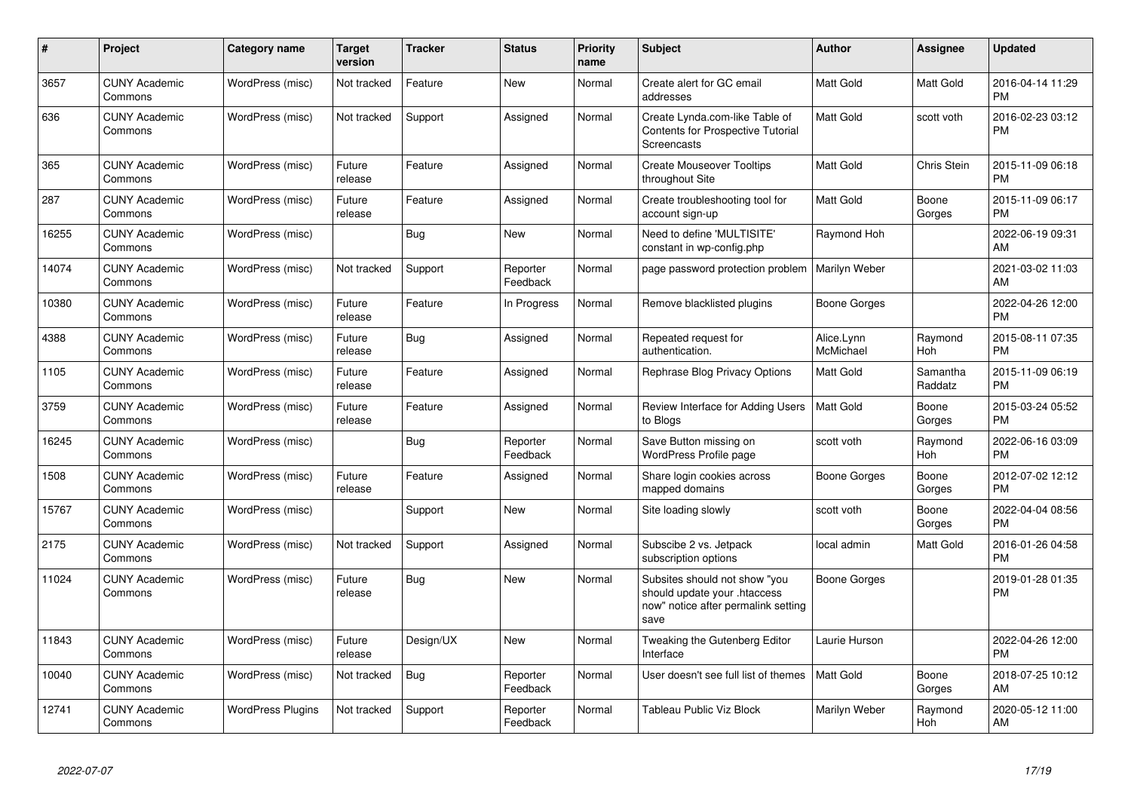| #     | <b>Project</b>                  | <b>Category name</b>     | <b>Target</b><br>version | <b>Tracker</b> | <b>Status</b>        | <b>Priority</b><br>name | <b>Subject</b>                                                                                               | Author                  | <b>Assignee</b>     | <b>Updated</b>                |
|-------|---------------------------------|--------------------------|--------------------------|----------------|----------------------|-------------------------|--------------------------------------------------------------------------------------------------------------|-------------------------|---------------------|-------------------------------|
| 3657  | <b>CUNY Academic</b><br>Commons | WordPress (misc)         | Not tracked              | Feature        | <b>New</b>           | Normal                  | Create alert for GC email<br>addresses                                                                       | <b>Matt Gold</b>        | Matt Gold           | 2016-04-14 11:29<br><b>PM</b> |
| 636   | <b>CUNY Academic</b><br>Commons | WordPress (misc)         | Not tracked              | Support        | Assigned             | Normal                  | Create Lynda.com-like Table of<br>Contents for Prospective Tutorial<br>Screencasts                           | <b>Matt Gold</b>        | scott voth          | 2016-02-23 03:12<br><b>PM</b> |
| 365   | <b>CUNY Academic</b><br>Commons | WordPress (misc)         | Future<br>release        | Feature        | Assigned             | Normal                  | <b>Create Mouseover Tooltips</b><br>throughout Site                                                          | <b>Matt Gold</b>        | <b>Chris Stein</b>  | 2015-11-09 06:18<br><b>PM</b> |
| 287   | <b>CUNY Academic</b><br>Commons | WordPress (misc)         | Future<br>release        | Feature        | Assigned             | Normal                  | Create troubleshooting tool for<br>account sign-up                                                           | <b>Matt Gold</b>        | Boone<br>Gorges     | 2015-11-09 06:17<br><b>PM</b> |
| 16255 | <b>CUNY Academic</b><br>Commons | WordPress (misc)         |                          | Bug            | New                  | Normal                  | Need to define 'MULTISITE'<br>constant in wp-config.php                                                      | Raymond Hoh             |                     | 2022-06-19 09:31<br>AM        |
| 14074 | <b>CUNY Academic</b><br>Commons | WordPress (misc)         | Not tracked              | Support        | Reporter<br>Feedback | Normal                  | page password protection problem   Marilyn Weber                                                             |                         |                     | 2021-03-02 11:03<br>AM        |
| 10380 | <b>CUNY Academic</b><br>Commons | WordPress (misc)         | Future<br>release        | Feature        | In Progress          | Normal                  | Remove blacklisted plugins                                                                                   | Boone Gorges            |                     | 2022-04-26 12:00<br><b>PM</b> |
| 4388  | <b>CUNY Academic</b><br>Commons | WordPress (misc)         | Future<br>release        | Bug            | Assigned             | Normal                  | Repeated request for<br>authentication.                                                                      | Alice.Lynn<br>McMichael | Raymond<br>Hoh      | 2015-08-11 07:35<br><b>PM</b> |
| 1105  | <b>CUNY Academic</b><br>Commons | WordPress (misc)         | Future<br>release        | Feature        | Assigned             | Normal                  | Rephrase Blog Privacy Options                                                                                | <b>Matt Gold</b>        | Samantha<br>Raddatz | 2015-11-09 06:19<br><b>PM</b> |
| 3759  | <b>CUNY Academic</b><br>Commons | WordPress (misc)         | Future<br>release        | Feature        | Assigned             | Normal                  | Review Interface for Adding Users<br>to Blogs                                                                | l Matt Gold             | Boone<br>Gorges     | 2015-03-24 05:52<br><b>PM</b> |
| 16245 | <b>CUNY Academic</b><br>Commons | WordPress (misc)         |                          | Bug            | Reporter<br>Feedback | Normal                  | Save Button missing on<br><b>WordPress Profile page</b>                                                      | scott voth              | Raymond<br>Hoh      | 2022-06-16 03:09<br><b>PM</b> |
| 1508  | <b>CUNY Academic</b><br>Commons | WordPress (misc)         | Future<br>release        | Feature        | Assigned             | Normal                  | Share login cookies across<br>mapped domains                                                                 | Boone Gorges            | Boone<br>Gorges     | 2012-07-02 12:12<br><b>PM</b> |
| 15767 | <b>CUNY Academic</b><br>Commons | WordPress (misc)         |                          | Support        | New                  | Normal                  | Site loading slowly                                                                                          | scott voth              | Boone<br>Gorges     | 2022-04-04 08:56<br><b>PM</b> |
| 2175  | <b>CUNY Academic</b><br>Commons | WordPress (misc)         | Not tracked              | Support        | Assigned             | Normal                  | Subscibe 2 vs. Jetpack<br>subscription options                                                               | local admin             | Matt Gold           | 2016-01-26 04:58<br><b>PM</b> |
| 11024 | <b>CUNY Academic</b><br>Commons | WordPress (misc)         | Future<br>release        | Bug            | <b>New</b>           | Normal                  | Subsites should not show "you<br>should update your .htaccess<br>now" notice after permalink setting<br>save | Boone Gorges            |                     | 2019-01-28 01:35<br><b>PM</b> |
| 11843 | <b>CUNY Academic</b><br>Commons | WordPress (misc)         | Future<br>release        | Design/UX      | New                  | Normal                  | Tweaking the Gutenberg Editor<br>Interface                                                                   | Laurie Hurson           |                     | 2022-04-26 12:00<br><b>PM</b> |
| 10040 | <b>CUNY Academic</b><br>Commons | WordPress (misc)         | Not tracked              | Bug            | Reporter<br>Feedback | Normal                  | User doesn't see full list of themes                                                                         | l Matt Gold             | Boone<br>Gorges     | 2018-07-25 10:12<br>AM        |
| 12741 | <b>CUNY Academic</b><br>Commons | <b>WordPress Plugins</b> | Not tracked              | Support        | Reporter<br>Feedback | Normal                  | Tableau Public Viz Block                                                                                     | Marilyn Weber           | Raymond<br>Hoh      | 2020-05-12 11:00<br>AM        |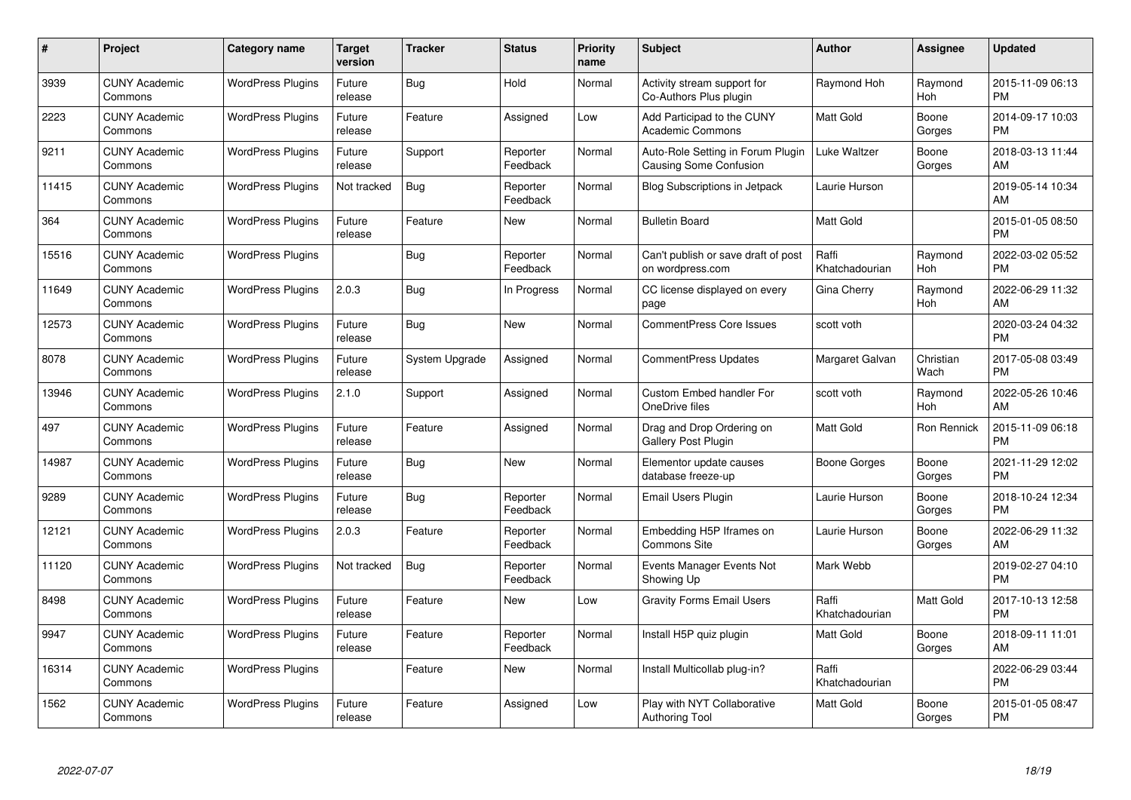| #     | Project                         | <b>Category name</b>     | <b>Target</b><br>version | <b>Tracker</b> | <b>Status</b>        | <b>Priority</b><br>name | <b>Subject</b>                                                     | <b>Author</b>           | Assignee          | <b>Updated</b>                |
|-------|---------------------------------|--------------------------|--------------------------|----------------|----------------------|-------------------------|--------------------------------------------------------------------|-------------------------|-------------------|-------------------------------|
| 3939  | <b>CUNY Academic</b><br>Commons | <b>WordPress Plugins</b> | Future<br>release        | <b>Bug</b>     | Hold                 | Normal                  | Activity stream support for<br>Co-Authors Plus plugin              | Raymond Hoh             | Raymond<br>Hoh    | 2015-11-09 06:13<br><b>PM</b> |
| 2223  | <b>CUNY Academic</b><br>Commons | <b>WordPress Plugins</b> | Future<br>release        | Feature        | Assigned             | Low                     | Add Participad to the CUNY<br>Academic Commons                     | <b>Matt Gold</b>        | Boone<br>Gorges   | 2014-09-17 10:03<br><b>PM</b> |
| 9211  | <b>CUNY Academic</b><br>Commons | <b>WordPress Plugins</b> | Future<br>release        | Support        | Reporter<br>Feedback | Normal                  | Auto-Role Setting in Forum Plugin<br><b>Causing Some Confusion</b> | <b>Luke Waltzer</b>     | Boone<br>Gorges   | 2018-03-13 11:44<br>AM        |
| 11415 | <b>CUNY Academic</b><br>Commons | <b>WordPress Plugins</b> | Not tracked              | Bug            | Reporter<br>Feedback | Normal                  | <b>Blog Subscriptions in Jetpack</b>                               | Laurie Hurson           |                   | 2019-05-14 10:34<br>AM        |
| 364   | <b>CUNY Academic</b><br>Commons | <b>WordPress Plugins</b> | Future<br>release        | Feature        | <b>New</b>           | Normal                  | <b>Bulletin Board</b>                                              | <b>Matt Gold</b>        |                   | 2015-01-05 08:50<br><b>PM</b> |
| 15516 | <b>CUNY Academic</b><br>Commons | <b>WordPress Plugins</b> |                          | Bug            | Reporter<br>Feedback | Normal                  | Can't publish or save draft of post<br>on wordpress.com            | Raffi<br>Khatchadourian | Raymond<br>Hoh    | 2022-03-02 05:52<br><b>PM</b> |
| 11649 | <b>CUNY Academic</b><br>Commons | <b>WordPress Plugins</b> | 2.0.3                    | Bug            | In Progress          | Normal                  | CC license displayed on every<br>page                              | Gina Cherry             | Raymond<br>Hoh    | 2022-06-29 11:32<br>AM        |
| 12573 | <b>CUNY Academic</b><br>Commons | <b>WordPress Plugins</b> | Future<br>release        | Bug            | <b>New</b>           | Normal                  | <b>CommentPress Core Issues</b>                                    | scott voth              |                   | 2020-03-24 04:32<br><b>PM</b> |
| 8078  | <b>CUNY Academic</b><br>Commons | <b>WordPress Plugins</b> | Future<br>release        | System Upgrade | Assigned             | Normal                  | <b>CommentPress Updates</b>                                        | Margaret Galvan         | Christian<br>Wach | 2017-05-08 03:49<br><b>PM</b> |
| 13946 | <b>CUNY Academic</b><br>Commons | <b>WordPress Plugins</b> | 2.1.0                    | Support        | Assigned             | Normal                  | <b>Custom Embed handler For</b><br>OneDrive files                  | scott voth              | Raymond<br>Hoh    | 2022-05-26 10:46<br>AM        |
| 497   | <b>CUNY Academic</b><br>Commons | <b>WordPress Plugins</b> | Future<br>release        | Feature        | Assigned             | Normal                  | Drag and Drop Ordering on<br>Gallery Post Plugin                   | <b>Matt Gold</b>        | Ron Rennick       | 2015-11-09 06:18<br><b>PM</b> |
| 14987 | <b>CUNY Academic</b><br>Commons | <b>WordPress Plugins</b> | Future<br>release        | <b>Bug</b>     | New                  | Normal                  | Elementor update causes<br>database freeze-up                      | Boone Gorges            | Boone<br>Gorges   | 2021-11-29 12:02<br><b>PM</b> |
| 9289  | <b>CUNY Academic</b><br>Commons | <b>WordPress Plugins</b> | Future<br>release        | <b>Bug</b>     | Reporter<br>Feedback | Normal                  | <b>Email Users Plugin</b>                                          | Laurie Hurson           | Boone<br>Gorges   | 2018-10-24 12:34<br><b>PM</b> |
| 12121 | <b>CUNY Academic</b><br>Commons | <b>WordPress Plugins</b> | 2.0.3                    | Feature        | Reporter<br>Feedback | Normal                  | Embedding H5P Iframes on<br>Commons Site                           | Laurie Hurson           | Boone<br>Gorges   | 2022-06-29 11:32<br>AM        |
| 11120 | <b>CUNY Academic</b><br>Commons | <b>WordPress Plugins</b> | Not tracked              | <b>Bug</b>     | Reporter<br>Feedback | Normal                  | Events Manager Events Not<br>Showing Up                            | Mark Webb               |                   | 2019-02-27 04:10<br><b>PM</b> |
| 8498  | <b>CUNY Academic</b><br>Commons | <b>WordPress Plugins</b> | Future<br>release        | Feature        | New                  | Low                     | <b>Gravity Forms Email Users</b>                                   | Raffi<br>Khatchadourian | Matt Gold         | 2017-10-13 12:58<br><b>PM</b> |
| 9947  | <b>CUNY Academic</b><br>Commons | <b>WordPress Plugins</b> | Future<br>release        | Feature        | Reporter<br>Feedback | Normal                  | Install H5P quiz plugin                                            | <b>Matt Gold</b>        | Boone<br>Gorges   | 2018-09-11 11:01<br>AM        |
| 16314 | <b>CUNY Academic</b><br>Commons | <b>WordPress Plugins</b> |                          | Feature        | <b>New</b>           | Normal                  | Install Multicollab plug-in?                                       | Raffi<br>Khatchadourian |                   | 2022-06-29 03:44<br><b>PM</b> |
| 1562  | CUNY Academic<br>Commons        | <b>WordPress Plugins</b> | Future<br>release        | Feature        | Assigned             | Low                     | Play with NYT Collaborative<br><b>Authoring Tool</b>               | <b>Matt Gold</b>        | Boone<br>Gorges   | 2015-01-05 08:47<br>PM        |